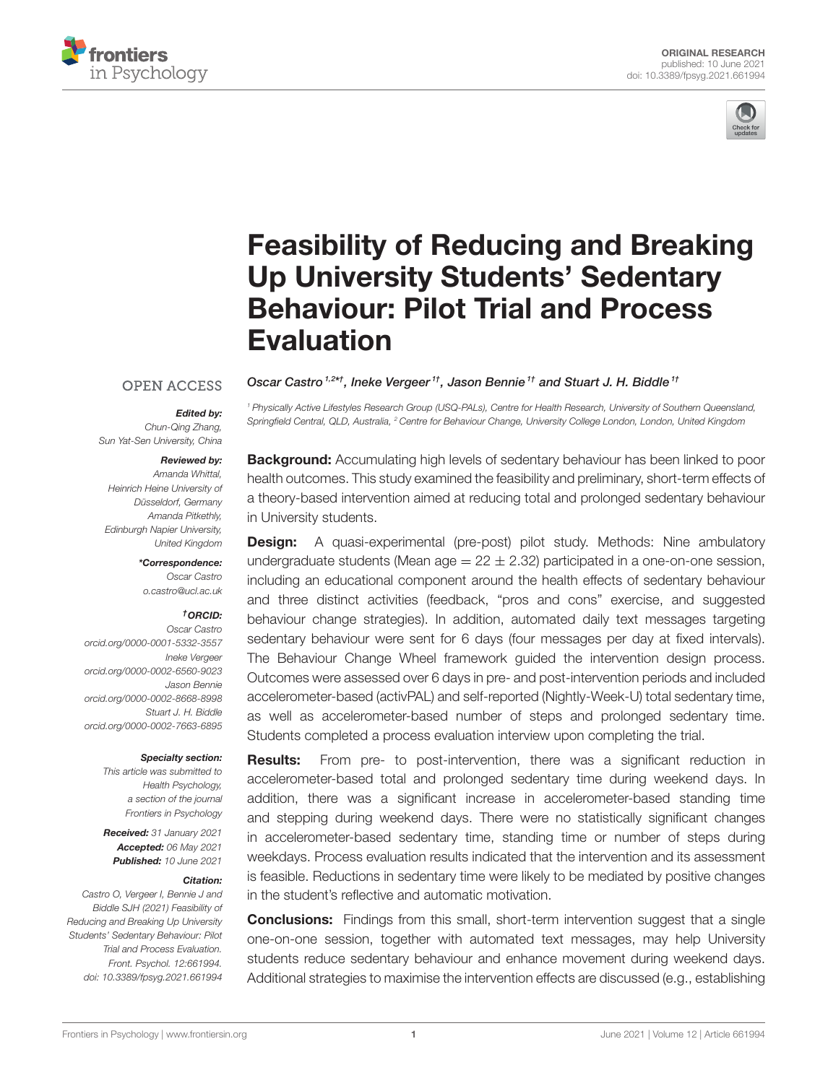



# [Feasibility of Reducing and Breaking](https://www.frontiersin.org/articles/10.3389/fpsyg.2021.661994/full) Up University Students' Sedentary Behaviour: Pilot Trial and Process Evaluation

Oscar Castro<sup>1,2\*†</sup>, Ineke Vergeer<sup>1†</sup>, Jason Bennie<sup>1†</sup> and Stuart J. H. Biddle<sup>1†</sup>

### **OPEN ACCESS**

#### Edited by:

Chun-Qing Zhang, Sun Yat-Sen University, China

#### Reviewed by:

Amanda Whittal, Heinrich Heine University of Düsseldorf, Germany Amanda Pitkethly, Edinburgh Napier University, United Kingdom

\*Correspondence:

Oscar Castro [o.castro@ucl.ac.uk](mailto:o.castro@ucl.ac.uk)

#### †ORCID:

Oscar Castro [orcid.org/0000-0001-5332-3557](https://orcid.org/0000-0001-5332-3557) Ineke Vergeer [orcid.org/0000-0002-6560-9023](https://orcid.org/0000-0002-6560-9023) Jason Bennie [orcid.org/0000-0002-8668-8998](https://orcid.org/0000-0002-8668-8998) Stuart J. H. Biddle [orcid.org/0000-0002-7663-6895](https://orcid.org/0000-0002-7663-6895)

#### Specialty section:

This article was submitted to Health Psychology, a section of the journal Frontiers in Psychology

Received: 31 January 2021 Accepted: 06 May 2021 Published: 10 June 2021

#### Citation:

Castro O, Vergeer I, Bennie J and Biddle SJH (2021) Feasibility of Reducing and Breaking Up University Students' Sedentary Behaviour: Pilot Trial and Process Evaluation. Front. Psychol. 12:661994. doi: [10.3389/fpsyg.2021.661994](https://doi.org/10.3389/fpsyg.2021.661994)

**Background:** Accumulating high levels of sedentary behaviour has been linked to poor health outcomes. This study examined the feasibility and preliminary, short-term effects of a theory-based intervention aimed at reducing total and prolonged sedentary behaviour in University students.

<sup>1</sup> Physically Active Lifestyles Research Group (USQ-PALs), Centre for Health Research, University of Southern Queensland, Springfield Central, QLD, Australia, <sup>2</sup> Centre for Behaviour Change, University College London, London, United Kingdom

**Design:** A quasi-experimental (pre-post) pilot study. Methods: Nine ambulatory undergraduate students (Mean age  $= 22 \pm 2.32$ ) participated in a one-on-one session, including an educational component around the health effects of sedentary behaviour and three distinct activities (feedback, "pros and cons" exercise, and suggested behaviour change strategies). In addition, automated daily text messages targeting sedentary behaviour were sent for 6 days (four messages per day at fixed intervals). The Behaviour Change Wheel framework guided the intervention design process. Outcomes were assessed over 6 days in pre- and post-intervention periods and included accelerometer-based (activPAL) and self-reported (Nightly-Week-U) total sedentary time, as well as accelerometer-based number of steps and prolonged sedentary time. Students completed a process evaluation interview upon completing the trial.

**Results:** From pre- to post-intervention, there was a significant reduction in accelerometer-based total and prolonged sedentary time during weekend days. In addition, there was a significant increase in accelerometer-based standing time and stepping during weekend days. There were no statistically significant changes in accelerometer-based sedentary time, standing time or number of steps during weekdays. Process evaluation results indicated that the intervention and its assessment is feasible. Reductions in sedentary time were likely to be mediated by positive changes in the student's reflective and automatic motivation.

**Conclusions:** Findings from this small, short-term intervention suggest that a single one-on-one session, together with automated text messages, may help University students reduce sedentary behaviour and enhance movement during weekend days. Additional strategies to maximise the intervention effects are discussed (e.g., establishing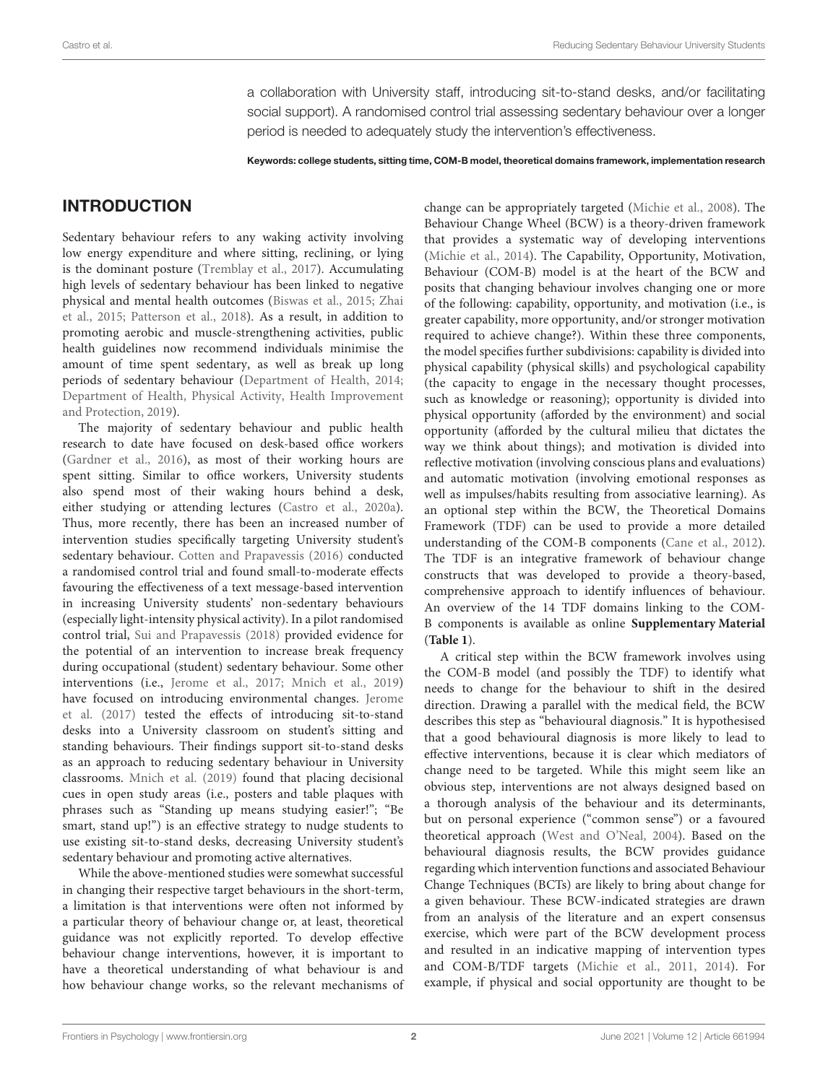a collaboration with University staff, introducing sit-to-stand desks, and/or facilitating social support). A randomised control trial assessing sedentary behaviour over a longer period is needed to adequately study the intervention's effectiveness.

Keywords: college students, sitting time, COM-B model, theoretical domains framework, implementation research

# INTRODUCTION

Sedentary behaviour refers to any waking activity involving low energy expenditure and where sitting, reclining, or lying is the dominant posture [\(Tremblay et al., 2017\)](#page-19-0). Accumulating high levels of sedentary behaviour has been linked to negative physical and mental health outcomes [\(Biswas et al., 2015;](#page-17-0) Zhai et al., [2015;](#page-19-1) [Patterson et al., 2018\)](#page-18-0). As a result, in addition to promoting aerobic and muscle-strengthening activities, public health guidelines now recommend individuals minimise the amount of time spent sedentary, as well as break up long periods of sedentary behaviour [\(Department of Health, 2014;](#page-18-1) Department of Health, Physical Activity, Health Improvement and Protection, [2019\)](#page-18-2).

The majority of sedentary behaviour and public health research to date have focused on desk-based office workers [\(Gardner et al., 2016\)](#page-18-3), as most of their working hours are spent sitting. Similar to office workers, University students also spend most of their waking hours behind a desk, either studying or attending lectures [\(Castro et al., 2020a\)](#page-17-1). Thus, more recently, there has been an increased number of intervention studies specifically targeting University student's sedentary behaviour. [Cotten and Prapavessis \(2016\)](#page-17-2) conducted a randomised control trial and found small-to-moderate effects favouring the effectiveness of a text message-based intervention in increasing University students' non-sedentary behaviours (especially light-intensity physical activity). In a pilot randomised control trial, [Sui and Prapavessis \(2018\)](#page-18-4) provided evidence for the potential of an intervention to increase break frequency during occupational (student) sedentary behaviour. Some other interventions (i.e., [Jerome et al., 2017;](#page-18-5) [Mnich et al., 2019\)](#page-18-6) have focused on introducing environmental changes. Jerome et al. [\(2017\)](#page-18-5) tested the effects of introducing sit-to-stand desks into a University classroom on student's sitting and standing behaviours. Their findings support sit-to-stand desks as an approach to reducing sedentary behaviour in University classrooms. [Mnich et al. \(2019\)](#page-18-6) found that placing decisional cues in open study areas (i.e., posters and table plaques with phrases such as "Standing up means studying easier!"; "Be smart, stand up!") is an effective strategy to nudge students to use existing sit-to-stand desks, decreasing University student's sedentary behaviour and promoting active alternatives.

While the above-mentioned studies were somewhat successful in changing their respective target behaviours in the short-term, a limitation is that interventions were often not informed by a particular theory of behaviour change or, at least, theoretical guidance was not explicitly reported. To develop effective behaviour change interventions, however, it is important to have a theoretical understanding of what behaviour is and how behaviour change works, so the relevant mechanisms of change can be appropriately targeted [\(Michie et al., 2008\)](#page-18-7). The Behaviour Change Wheel (BCW) is a theory-driven framework that provides a systematic way of developing interventions [\(Michie et al., 2014\)](#page-18-8). The Capability, Opportunity, Motivation, Behaviour (COM-B) model is at the heart of the BCW and posits that changing behaviour involves changing one or more of the following: capability, opportunity, and motivation (i.e., is greater capability, more opportunity, and/or stronger motivation required to achieve change?). Within these three components, the model specifies further subdivisions: capability is divided into physical capability (physical skills) and psychological capability (the capacity to engage in the necessary thought processes, such as knowledge or reasoning); opportunity is divided into physical opportunity (afforded by the environment) and social opportunity (afforded by the cultural milieu that dictates the way we think about things); and motivation is divided into reflective motivation (involving conscious plans and evaluations) and automatic motivation (involving emotional responses as well as impulses/habits resulting from associative learning). As an optional step within the BCW, the Theoretical Domains Framework (TDF) can be used to provide a more detailed understanding of the COM-B components [\(Cane et al., 2012\)](#page-17-3). The TDF is an integrative framework of behaviour change constructs that was developed to provide a theory-based, comprehensive approach to identify influences of behaviour. An overview of the 14 TDF domains linking to the COM-B components is available as online **[Supplementary Material](#page-17-4)** (**[Table 1](#page-2-0)**).

A critical step within the BCW framework involves using the COM-B model (and possibly the TDF) to identify what needs to change for the behaviour to shift in the desired direction. Drawing a parallel with the medical field, the BCW describes this step as "behavioural diagnosis." It is hypothesised that a good behavioural diagnosis is more likely to lead to effective interventions, because it is clear which mediators of change need to be targeted. While this might seem like an obvious step, interventions are not always designed based on a thorough analysis of the behaviour and its determinants, but on personal experience ("common sense") or a favoured theoretical approach [\(West and O'Neal, 2004\)](#page-19-2). Based on the behavioural diagnosis results, the BCW provides guidance regarding which intervention functions and associated Behaviour Change Techniques (BCTs) are likely to bring about change for a given behaviour. These BCW-indicated strategies are drawn from an analysis of the literature and an expert consensus exercise, which were part of the BCW development process and resulted in an indicative mapping of intervention types and COM-B/TDF targets [\(Michie et al., 2011,](#page-18-9) [2014\)](#page-18-8). For example, if physical and social opportunity are thought to be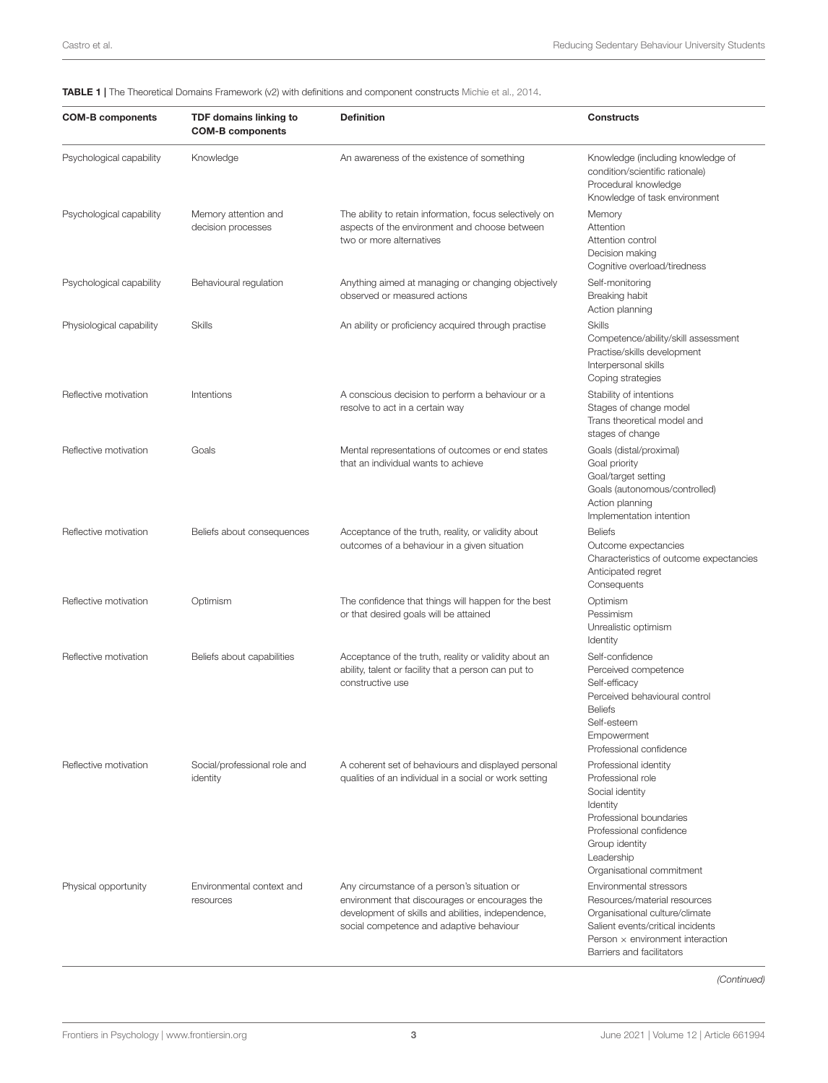<span id="page-2-0"></span>TABLE 1 | The Theoretical Domains Framework (v2) with definitions and component constructs [Michie et al., 2014.](#page-18-8)

| <b>COM-B components</b>  | <b>TDF domains linking to</b><br><b>COM-B components</b> | <b>Definition</b>                                                                                                                                                                               | <b>Constructs</b>                                                                                                                                                                                      |
|--------------------------|----------------------------------------------------------|-------------------------------------------------------------------------------------------------------------------------------------------------------------------------------------------------|--------------------------------------------------------------------------------------------------------------------------------------------------------------------------------------------------------|
| Psychological capability | Knowledge                                                | An awareness of the existence of something                                                                                                                                                      | Knowledge (including knowledge of<br>condition/scientific rationale)<br>Procedural knowledge<br>Knowledge of task environment                                                                          |
| Psychological capability | Memory attention and<br>decision processes               | The ability to retain information, focus selectively on<br>aspects of the environment and choose between<br>two or more alternatives                                                            | Memory<br>Attention<br>Attention control<br>Decision making<br>Cognitive overload/tiredness                                                                                                            |
| Psychological capability | Behavioural regulation                                   | Anything aimed at managing or changing objectively<br>observed or measured actions                                                                                                              | Self-monitoring<br>Breaking habit<br>Action planning                                                                                                                                                   |
| Physiological capability | Skills                                                   | An ability or proficiency acquired through practise                                                                                                                                             | <b>Skills</b><br>Competence/ability/skill assessment<br>Practise/skills development<br>Interpersonal skills<br>Coping strategies                                                                       |
| Reflective motivation    | Intentions                                               | A conscious decision to perform a behaviour or a<br>resolve to act in a certain way                                                                                                             | Stability of intentions<br>Stages of change model<br>Trans theoretical model and<br>stages of change                                                                                                   |
| Reflective motivation    | Goals                                                    | Mental representations of outcomes or end states<br>that an individual wants to achieve                                                                                                         | Goals (distal/proximal)<br>Goal priority<br>Goal/target setting<br>Goals (autonomous/controlled)<br>Action planning<br>Implementation intention                                                        |
| Reflective motivation    | Beliefs about consequences                               | Acceptance of the truth, reality, or validity about<br>outcomes of a behaviour in a given situation                                                                                             | <b>Beliefs</b><br>Outcome expectancies<br>Characteristics of outcome expectancies<br>Anticipated regret<br>Consequents                                                                                 |
| Reflective motivation    | Optimism                                                 | The confidence that things will happen for the best<br>or that desired goals will be attained                                                                                                   | Optimism<br>Pessimism<br>Unrealistic optimism<br>Identity                                                                                                                                              |
| Reflective motivation    | Beliefs about capabilities                               | Acceptance of the truth, reality or validity about an<br>ability, talent or facility that a person can put to<br>constructive use                                                               | Self-confidence<br>Perceived competence<br>Self-efficacy<br>Perceived behavioural control<br><b>Beliefs</b><br>Self-esteem<br>Empowerment<br>Professional confidence                                   |
| Reflective motivation    | Social/professional role and<br>identity                 | A coherent set of behaviours and displayed personal<br>qualities of an individual in a social or work setting                                                                                   | Professional identity<br>Professional role<br>Social identity<br>Identity<br>Professional boundaries<br>Professional confidence<br>Group identity<br>Leadership<br>Organisational commitment           |
| Physical opportunity     | Environmental context and<br>resources                   | Any circumstance of a person's situation or<br>environment that discourages or encourages the<br>development of skills and abilities, independence,<br>social competence and adaptive behaviour | Environmental stressors<br>Resources/material resources<br>Organisational culture/climate<br>Salient events/critical incidents<br>Person $\times$ environment interaction<br>Barriers and facilitators |

(Continued)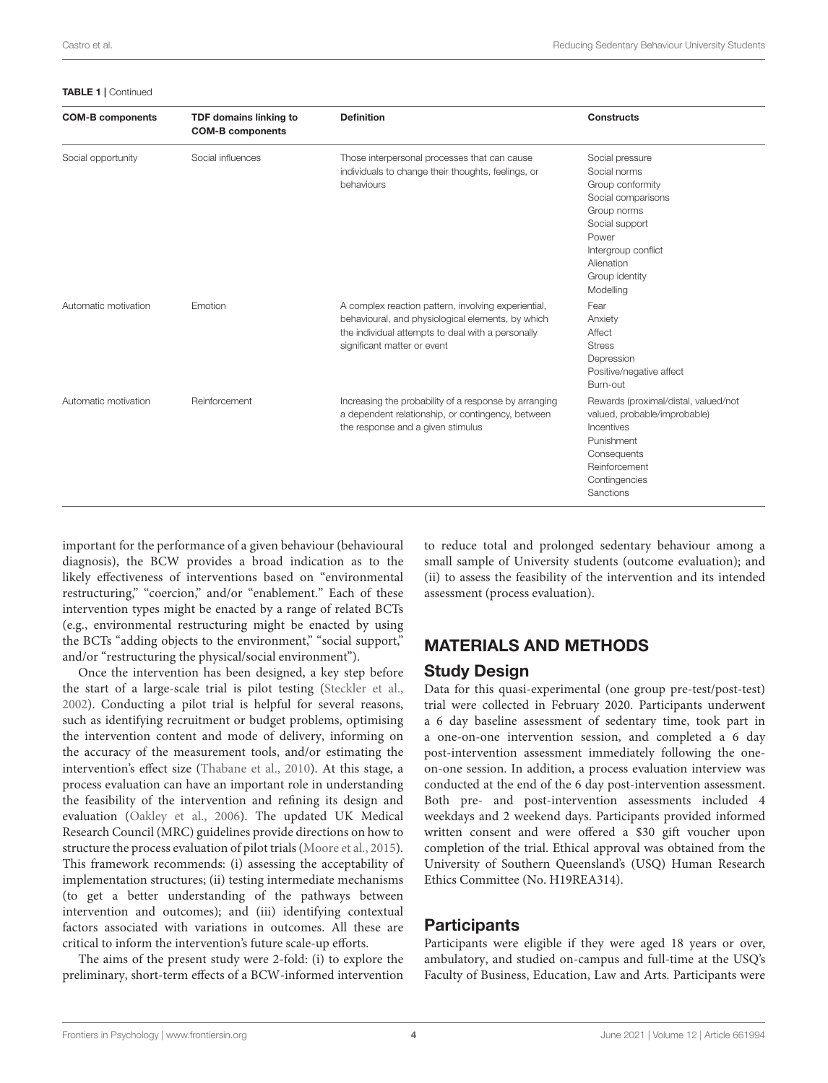#### TABLE 1 | Continued

| <b>COM-B components</b> | TDF domains linking to<br><b>COM-B components</b> | <b>Definition</b>                                                                                                                                                                            | <b>Constructs</b>                                                                                                                                                                       |
|-------------------------|---------------------------------------------------|----------------------------------------------------------------------------------------------------------------------------------------------------------------------------------------------|-----------------------------------------------------------------------------------------------------------------------------------------------------------------------------------------|
| Social opportunity      | Social influences                                 | Those interpersonal processes that can cause<br>individuals to change their thoughts, feelings, or<br>behaviours                                                                             | Social pressure<br>Social norms<br>Group conformity<br>Social comparisons<br>Group norms<br>Social support<br>Power<br>Intergroup conflict<br>Alienation<br>Group identity<br>Modelling |
| Automatic motivation    | Emotion                                           | A complex reaction pattern, involving experiential,<br>behavioural, and physiological elements, by which<br>the individual attempts to deal with a personally<br>significant matter or event | Fear<br>Anxiety<br>Affect<br><b>Stress</b><br>Depression<br>Positive/negative affect<br>Burn-out                                                                                        |
| Automatic motivation    | Reinforcement                                     | Increasing the probability of a response by arranging<br>a dependent relationship, or contingency, between<br>the response and a given stimulus                                              | Rewards (proximal/distal, valued/not<br>valued, probable/improbable)<br>Incentives<br>Punishment<br>Consequents<br>Reinforcement<br>Contingencies<br>Sanctions                          |

important for the performance of a given behaviour (behavioural diagnosis), the BCW provides a broad indication as to the likely effectiveness of interventions based on "environmental restructuring," "coercion," and/or "enablement." Each of these intervention types might be enacted by a range of related BCTs (e.g., environmental restructuring might be enacted by using the BCTs "adding objects to the environment," "social support," and/or "restructuring the physical/social environment").

Once the intervention has been designed, a key step before the start of a large-scale trial is pilot testing [\(Steckler et al.,](#page-18-10) [2002\)](#page-18-10). Conducting a pilot trial is helpful for several reasons, such as identifying recruitment or budget problems, optimising the intervention content and mode of delivery, informing on the accuracy of the measurement tools, and/or estimating the intervention's effect size [\(Thabane et al., 2010\)](#page-19-3). At this stage, a process evaluation can have an important role in understanding the feasibility of the intervention and refining its design and evaluation [\(Oakley et al., 2006\)](#page-18-11). The updated UK Medical Research Council (MRC) guidelines provide directions on how to structure the process evaluation of pilot trials [\(Moore et al., 2015\)](#page-18-12). This framework recommends: (i) assessing the acceptability of implementation structures; (ii) testing intermediate mechanisms (to get a better understanding of the pathways between intervention and outcomes); and (iii) identifying contextual factors associated with variations in outcomes. All these are critical to inform the intervention's future scale-up efforts.

The aims of the present study were 2-fold: (i) to explore the preliminary, short-term effects of a BCW-informed intervention to reduce total and prolonged sedentary behaviour among a small sample of University students (outcome evaluation); and (ii) to assess the feasibility of the intervention and its intended assessment (process evaluation).

# MATERIALS AND METHODS

### Study Design

Data for this quasi-experimental (one group pre-test/post-test) trial were collected in February 2020. Participants underwent a 6 day baseline assessment of sedentary time, took part in a one-on-one intervention session, and completed a 6 day post-intervention assessment immediately following the oneon-one session. In addition, a process evaluation interview was conducted at the end of the 6 day post-intervention assessment. Both pre- and post-intervention assessments included 4 weekdays and 2 weekend days. Participants provided informed written consent and were offered a \$30 gift voucher upon completion of the trial. Ethical approval was obtained from the University of Southern Queensland's (USQ) Human Research Ethics Committee (No. H19REA314).

# **Participants**

Participants were eligible if they were aged 18 years or over, ambulatory, and studied on-campus and full-time at the USQ's Faculty of Business, Education, Law and Arts. Participants were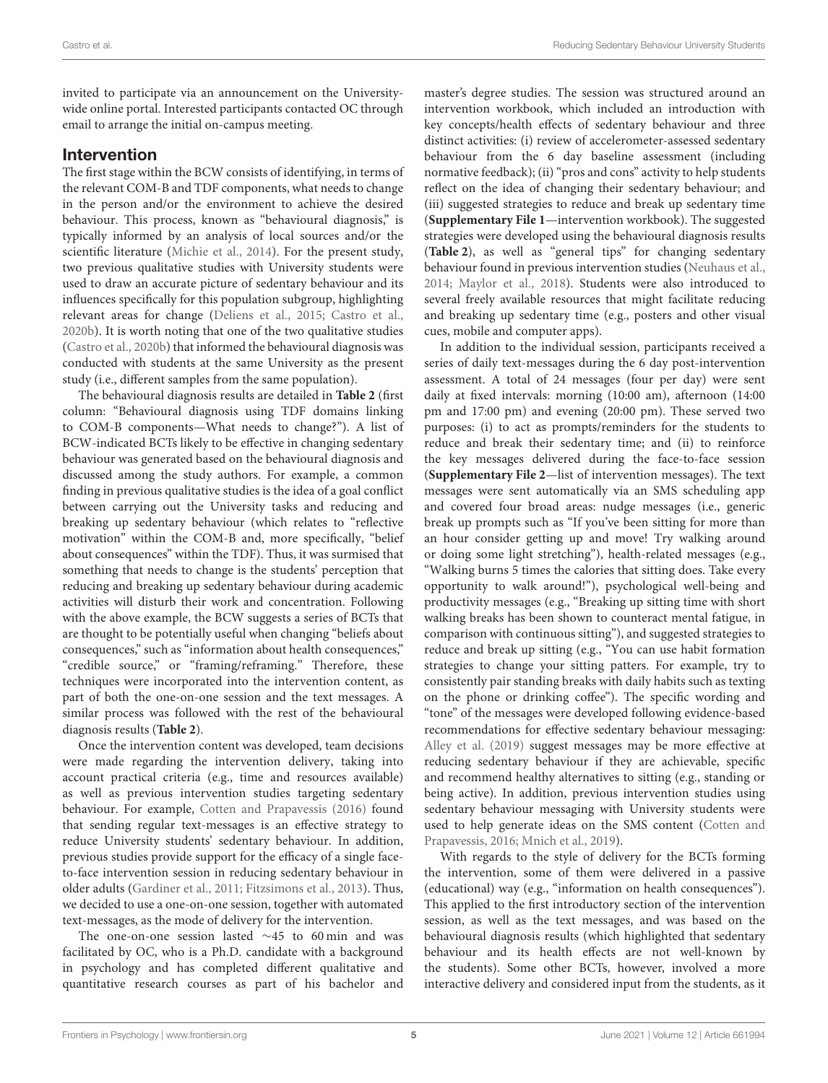invited to participate via an announcement on the Universitywide online portal. Interested participants contacted OC through email to arrange the initial on-campus meeting.

### Intervention

The first stage within the BCW consists of identifying, in terms of the relevant COM-B and TDF components, what needs to change in the person and/or the environment to achieve the desired behaviour. This process, known as "behavioural diagnosis," is typically informed by an analysis of local sources and/or the scientific literature [\(Michie et al., 2014\)](#page-18-8). For the present study, two previous qualitative studies with University students were used to draw an accurate picture of sedentary behaviour and its influences specifically for this population subgroup, highlighting relevant areas for change [\(Deliens et al., 2015;](#page-18-13) [Castro et al.,](#page-17-5) [2020b\)](#page-17-5). It is worth noting that one of the two qualitative studies [\(Castro et al., 2020b\)](#page-17-5) that informed the behavioural diagnosis was conducted with students at the same University as the present study (i.e., different samples from the same population).

The behavioural diagnosis results are detailed in **[Table 2](#page-5-0)** (first column: "Behavioural diagnosis using TDF domains linking to COM-B components—What needs to change?"). A list of BCW-indicated BCTs likely to be effective in changing sedentary behaviour was generated based on the behavioural diagnosis and discussed among the study authors. For example, a common finding in previous qualitative studies is the idea of a goal conflict between carrying out the University tasks and reducing and breaking up sedentary behaviour (which relates to "reflective motivation" within the COM-B and, more specifically, "belief about consequences" within the TDF). Thus, it was surmised that something that needs to change is the students' perception that reducing and breaking up sedentary behaviour during academic activities will disturb their work and concentration. Following with the above example, the BCW suggests a series of BCTs that are thought to be potentially useful when changing "beliefs about consequences," such as "information about health consequences," "credible source," or "framing/reframing." Therefore, these techniques were incorporated into the intervention content, as part of both the one-on-one session and the text messages. A similar process was followed with the rest of the behavioural diagnosis results (**[Table 2](#page-5-0)**).

Once the intervention content was developed, team decisions were made regarding the intervention delivery, taking into account practical criteria (e.g., time and resources available) as well as previous intervention studies targeting sedentary behaviour. For example, [Cotten and Prapavessis \(2016\)](#page-17-2) found that sending regular text-messages is an effective strategy to reduce University students' sedentary behaviour. In addition, previous studies provide support for the efficacy of a single faceto-face intervention session in reducing sedentary behaviour in older adults [\(Gardiner et al., 2011;](#page-18-14) [Fitzsimons et al., 2013\)](#page-18-15). Thus, we decided to use a one-on-one session, together with automated text-messages, as the mode of delivery for the intervention.

The one-on-one session lasted ∼45 to 60 min and was facilitated by OC, who is a Ph.D. candidate with a background in psychology and has completed different qualitative and quantitative research courses as part of his bachelor and master's degree studies. The session was structured around an intervention workbook, which included an introduction with key concepts/health effects of sedentary behaviour and three distinct activities: (i) review of accelerometer-assessed sedentary behaviour from the 6 day baseline assessment (including normative feedback); (ii) "pros and cons" activity to help students reflect on the idea of changing their sedentary behaviour; and (iii) suggested strategies to reduce and break up sedentary time (**[Supplementary File 1](#page-17-4)**—intervention workbook). The suggested strategies were developed using the behavioural diagnosis results (**[Table 2](#page-5-0)**), as well as "general tips" for changing sedentary behaviour found in previous intervention studies [\(Neuhaus et al.,](#page-18-16) [2014;](#page-18-16) [Maylor et al., 2018\)](#page-18-17). Students were also introduced to several freely available resources that might facilitate reducing and breaking up sedentary time (e.g., posters and other visual cues, mobile and computer apps).

In addition to the individual session, participants received a series of daily text-messages during the 6 day post-intervention assessment. A total of 24 messages (four per day) were sent daily at fixed intervals: morning (10:00 am), afternoon (14:00 pm and 17:00 pm) and evening (20:00 pm). These served two purposes: (i) to act as prompts/reminders for the students to reduce and break their sedentary time; and (ii) to reinforce the key messages delivered during the face-to-face session (**[Supplementary File 2](#page-17-4)**—list of intervention messages). The text messages were sent automatically via an SMS scheduling app and covered four broad areas: nudge messages (i.e., generic break up prompts such as "If you've been sitting for more than an hour consider getting up and move! Try walking around or doing some light stretching"), health-related messages (e.g., "Walking burns 5 times the calories that sitting does. Take every opportunity to walk around!"), psychological well-being and productivity messages (e.g., "Breaking up sitting time with short walking breaks has been shown to counteract mental fatigue, in comparison with continuous sitting"), and suggested strategies to reduce and break up sitting (e.g., "You can use habit formation strategies to change your sitting patters. For example, try to consistently pair standing breaks with daily habits such as texting on the phone or drinking coffee"). The specific wording and "tone" of the messages were developed following evidence-based recommendations for effective sedentary behaviour messaging: [Alley et al. \(2019\)](#page-17-6) suggest messages may be more effective at reducing sedentary behaviour if they are achievable, specific and recommend healthy alternatives to sitting (e.g., standing or being active). In addition, previous intervention studies using sedentary behaviour messaging with University students were used to help generate ideas on the SMS content (Cotten and Prapavessis, [2016;](#page-17-2) [Mnich et al., 2019\)](#page-18-6).

With regards to the style of delivery for the BCTs forming the intervention, some of them were delivered in a passive (educational) way (e.g., "information on health consequences"). This applied to the first introductory section of the intervention session, as well as the text messages, and was based on the behavioural diagnosis results (which highlighted that sedentary behaviour and its health effects are not well-known by the students). Some other BCTs, however, involved a more interactive delivery and considered input from the students, as it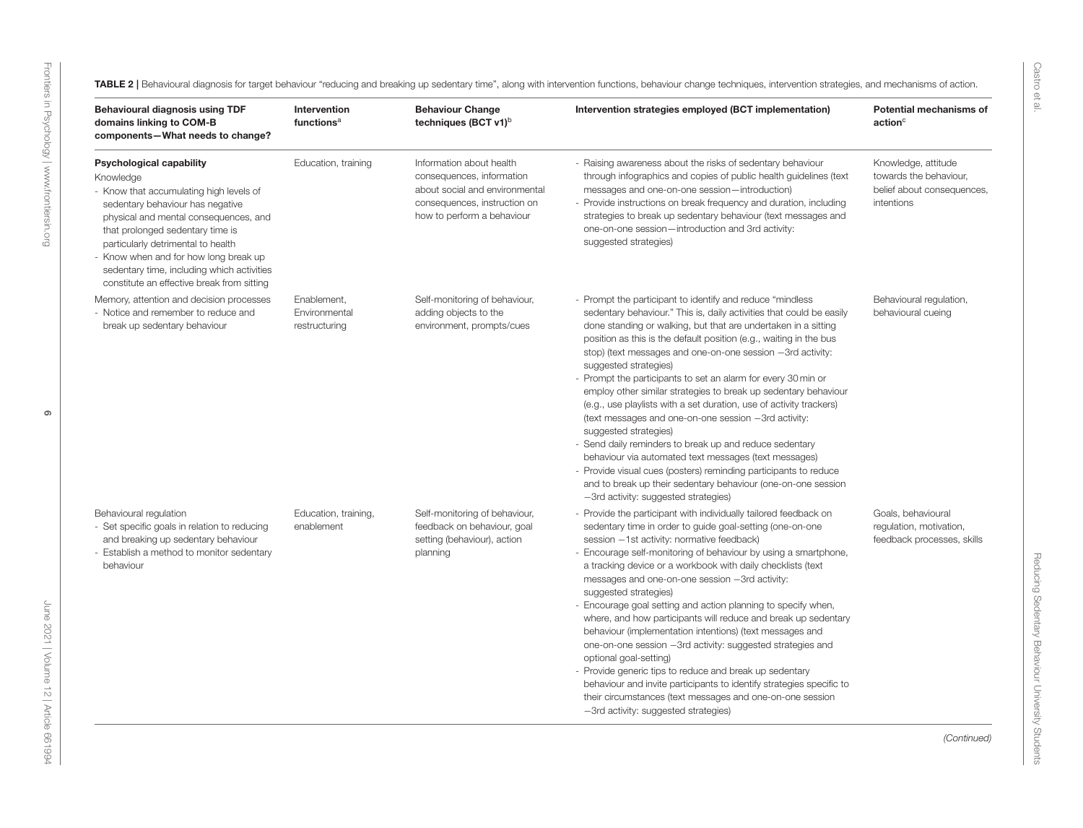<span id="page-5-0"></span>

| Behavioural diagnosis using TDF<br>domains linking to COM-B<br>components-What needs to change?                                                                                                                                                                                                                                                                                     | Intervention<br>functions <sup>a</sup>        | <b>Behaviour Change</b><br>techniques (BCT $v1$ <sup>b</sup>                                                                                          | Intervention strategies employed (BCT implementation)                                                                                                                                                                                                                                                                                                                                                                                                                                                                                                                                                                                                                                                                                                                                                                                                                                                                                                          | Potential mechanisms of<br>$\arctan^c$                                                    |
|-------------------------------------------------------------------------------------------------------------------------------------------------------------------------------------------------------------------------------------------------------------------------------------------------------------------------------------------------------------------------------------|-----------------------------------------------|-------------------------------------------------------------------------------------------------------------------------------------------------------|----------------------------------------------------------------------------------------------------------------------------------------------------------------------------------------------------------------------------------------------------------------------------------------------------------------------------------------------------------------------------------------------------------------------------------------------------------------------------------------------------------------------------------------------------------------------------------------------------------------------------------------------------------------------------------------------------------------------------------------------------------------------------------------------------------------------------------------------------------------------------------------------------------------------------------------------------------------|-------------------------------------------------------------------------------------------|
| <b>Psychological capability</b><br>Knowledge<br>- Know that accumulating high levels of<br>sedentary behaviour has negative<br>physical and mental consequences, and<br>that prolonged sedentary time is<br>particularly detrimental to health<br>- Know when and for how long break up<br>sedentary time, including which activities<br>constitute an effective break from sitting | Education, training                           | Information about health<br>consequences, information<br>about social and environmental<br>consequences, instruction on<br>how to perform a behaviour | - Raising awareness about the risks of sedentary behaviour<br>through infographics and copies of public health guidelines (text<br>messages and one-on-one session-introduction)<br>- Provide instructions on break frequency and duration, including<br>strategies to break up sedentary behaviour (text messages and<br>one-on-one session-introduction and 3rd activity:<br>suggested strategies)                                                                                                                                                                                                                                                                                                                                                                                                                                                                                                                                                           | Knowledge, attitude<br>towards the behaviour,<br>belief about consequences,<br>intentions |
| Memory, attention and decision processes<br>- Notice and remember to reduce and<br>break up sedentary behaviour                                                                                                                                                                                                                                                                     | Enablement,<br>Environmental<br>restructuring | Self-monitoring of behaviour,<br>adding objects to the<br>environment, prompts/cues                                                                   | - Prompt the participant to identify and reduce "mindless"<br>sedentary behaviour." This is, daily activities that could be easily<br>done standing or walking, but that are undertaken in a sitting<br>position as this is the default position (e.g., waiting in the bus<br>stop) (text messages and one-on-one session -3rd activity:<br>suggested strategies)<br>- Prompt the participants to set an alarm for every 30 min or<br>employ other similar strategies to break up sedentary behaviour<br>(e.g., use playlists with a set duration, use of activity trackers)<br>(text messages and one-on-one session -3rd activity:<br>suggested strategies)<br>- Send daily reminders to break up and reduce sedentary<br>behaviour via automated text messages (text messages)<br>- Provide visual cues (posters) reminding participants to reduce<br>and to break up their sedentary behaviour (one-on-one session<br>-3rd activity: suggested strategies) | Behavioural regulation,<br>behavioural cueing                                             |
| Behavioural regulation<br>- Set specific goals in relation to reducing<br>and breaking up sedentary behaviour<br>- Establish a method to monitor sedentary<br>behaviour                                                                                                                                                                                                             | Education, training,<br>enablement            | Self-monitoring of behaviour,<br>feedback on behaviour, goal<br>setting (behaviour), action<br>planning                                               | - Provide the participant with individually tailored feedback on<br>sedentary time in order to guide goal-setting (one-on-one<br>session -1st activity: normative feedback)<br>- Encourage self-monitoring of behaviour by using a smartphone,<br>a tracking device or a workbook with daily checklists (text<br>messages and one-on-one session -3rd activity:<br>suggested strategies)<br>- Encourage goal setting and action planning to specify when,<br>where, and how participants will reduce and break up sedentary<br>behaviour (implementation intentions) (text messages and<br>one-on-one session -3rd activity: suggested strategies and<br>optional goal-setting)<br>- Provide generic tips to reduce and break up sedentary<br>behaviour and invite participants to identify strategies specific to<br>their circumstances (text messages and one-on-one session<br>-3rd activity: suggested strategies)                                        | Goals, behavioural<br>regulation, motivation,<br>feedback processes, skills               |

Castro et al.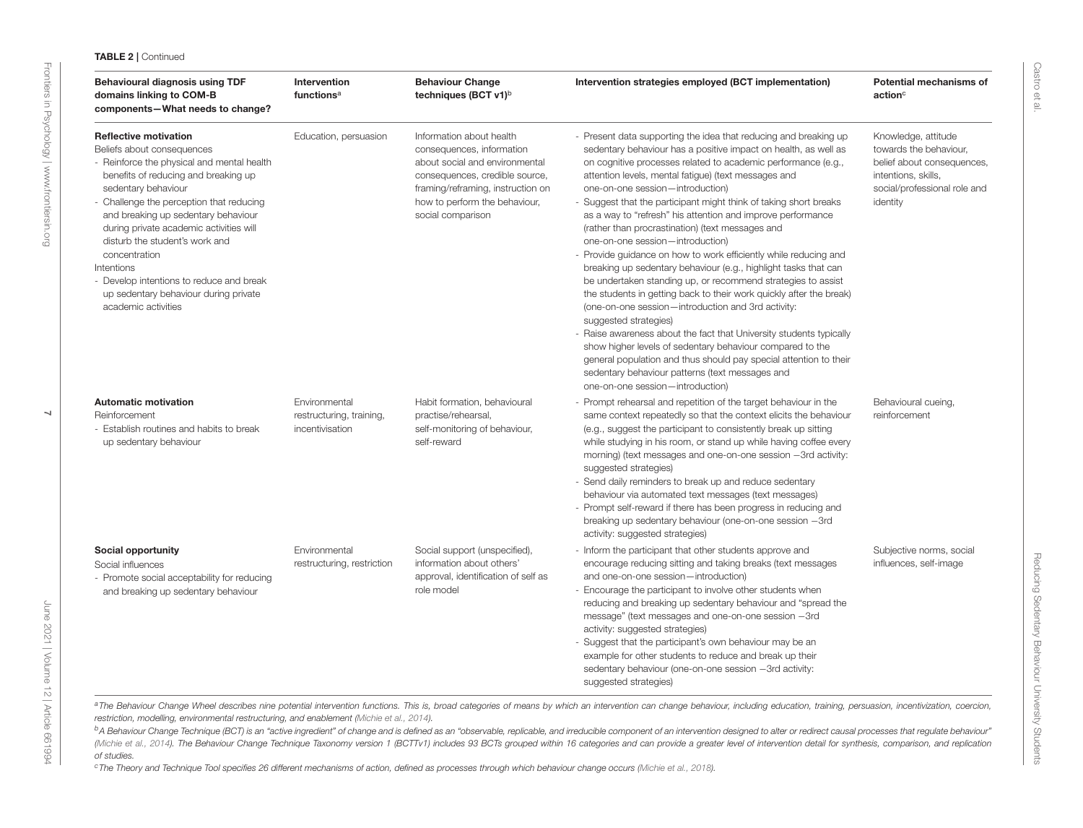### TABLE <sup>2</sup> | Continued

| Behavioural diagnosis using TDF<br>domains linking to COM-B<br>components-What needs to change?                                                                                                                                                                                                                                                                                                                                                                                    | Intervention<br>functions <sup>a</sup>                       | <b>Behaviour Change</b><br>techniques (BCT v1) <sup>b</sup>                                                                                                                                                          | Intervention strategies employed (BCT implementation)                                                                                                                                                                                                                                                                                                                                                                                                                                                                                                                                                                                                                                                                                                                                                                                                                                                                                                                                                                                                                                                                                                                                     | Potential mechanisms of<br>$\mathsf{action}^\circ$                                                                                             |
|------------------------------------------------------------------------------------------------------------------------------------------------------------------------------------------------------------------------------------------------------------------------------------------------------------------------------------------------------------------------------------------------------------------------------------------------------------------------------------|--------------------------------------------------------------|----------------------------------------------------------------------------------------------------------------------------------------------------------------------------------------------------------------------|-------------------------------------------------------------------------------------------------------------------------------------------------------------------------------------------------------------------------------------------------------------------------------------------------------------------------------------------------------------------------------------------------------------------------------------------------------------------------------------------------------------------------------------------------------------------------------------------------------------------------------------------------------------------------------------------------------------------------------------------------------------------------------------------------------------------------------------------------------------------------------------------------------------------------------------------------------------------------------------------------------------------------------------------------------------------------------------------------------------------------------------------------------------------------------------------|------------------------------------------------------------------------------------------------------------------------------------------------|
| <b>Reflective motivation</b><br>Beliefs about consequences<br>- Reinforce the physical and mental health<br>benefits of reducing and breaking up<br>sedentary behaviour<br>- Challenge the perception that reducing<br>and breaking up sedentary behaviour<br>during private academic activities will<br>disturb the student's work and<br>concentration<br>Intentions<br>- Develop intentions to reduce and break<br>up sedentary behaviour during private<br>academic activities | Education, persuasion                                        | Information about health<br>consequences, information<br>about social and environmental<br>consequences, credible source,<br>framing/reframing, instruction on<br>how to perform the behaviour,<br>social comparison | - Present data supporting the idea that reducing and breaking up<br>sedentary behaviour has a positive impact on health, as well as<br>on cognitive processes related to academic performance (e.g.,<br>attention levels, mental fatigue) (text messages and<br>one-on-one session-introduction)<br>- Suggest that the participant might think of taking short breaks<br>as a way to "refresh" his attention and improve performance<br>(rather than procrastination) (text messages and<br>one-on-one session-introduction)<br>- Provide guidance on how to work efficiently while reducing and<br>breaking up sedentary behaviour (e.g., highlight tasks that can<br>be undertaken standing up, or recommend strategies to assist<br>the students in getting back to their work quickly after the break)<br>(one-on-one session-introduction and 3rd activity:<br>suggested strategies)<br>- Raise awareness about the fact that University students typically<br>show higher levels of sedentary behaviour compared to the<br>general population and thus should pay special attention to their<br>sedentary behaviour patterns (text messages and<br>one-on-one session-introduction) | Knowledge, attitude<br>towards the behaviour.<br>belief about consequences,<br>intentions, skills,<br>social/professional role and<br>identity |
| <b>Automatic motivation</b><br>Reinforcement<br>- Establish routines and habits to break<br>up sedentary behaviour                                                                                                                                                                                                                                                                                                                                                                 | Environmental<br>restructuring, training,<br>incentivisation | Habit formation, behavioural<br>practise/rehearsal,<br>self-monitoring of behaviour,<br>self-reward                                                                                                                  | - Prompt rehearsal and repetition of the target behaviour in the<br>same context repeatedly so that the context elicits the behaviour<br>(e.g., suggest the participant to consistently break up sitting<br>while studying in his room, or stand up while having coffee every<br>morning) (text messages and one-on-one session -3rd activity:<br>suggested strategies)<br>- Send daily reminders to break up and reduce sedentary<br>behaviour via automated text messages (text messages)<br>- Prompt self-reward if there has been progress in reducing and<br>breaking up sedentary behaviour (one-on-one session -3rd<br>activity: suggested strategies)                                                                                                                                                                                                                                                                                                                                                                                                                                                                                                                             | Behavioural cueing,<br>reinforcement                                                                                                           |
| Social opportunity<br>Social influences<br>- Promote social acceptability for reducing<br>and breaking up sedentary behaviour                                                                                                                                                                                                                                                                                                                                                      | Environmental<br>restructuring, restriction                  | Social support (unspecified),<br>information about others'<br>approval, identification of self as<br>role model                                                                                                      | - Inform the participant that other students approve and<br>encourage reducing sitting and taking breaks (text messages<br>and one-on-one session-introduction)<br>- Encourage the participant to involve other students when<br>reducing and breaking up sedentary behaviour and "spread the<br>message" (text messages and one-on-one session -3rd<br>activity: suggested strategies)<br>- Suggest that the participant's own behaviour may be an<br>example for other students to reduce and break up their<br>sedentary behaviour (one-on-one session -3rd activity:<br>suggested strategies)                                                                                                                                                                                                                                                                                                                                                                                                                                                                                                                                                                                         | Subjective norms, social<br>influences, self-image                                                                                             |

a The Behaviour Change Wheel describes nine potential intervention functions. This is, broad categories of means by which an intervention can change behaviour, including education, training, persuasion, incentivization, co restriction, modelling, environmental restructuring, and enablement [\(Michie](#page-18-18) et al., [2014\)](#page-18-18).

<sup>b</sup>A Behaviour Change Technique (BCT) is an "active ingredient" of change and is defined as an "observable, replicable, and irreducible component of an intervention designed to alter or redirect causal processes that regul [\(Michie](#page-18-18) et al., [2014\)](#page-18-18). The Behaviour Change Technique Taxonomy version 1 (BCTTv1) includes 93 BCTs grouped within 16 categories and can provide a greater level of intervention detail for synthesis, comparison, and replicat of studies.

<sup>c</sup>The Theory and Technique Tool specifies <sup>26</sup> different mechanisms of action, defined as processes through which behaviour change occurs [\(Michie](#page-18-19) et al., [2018\)](#page-18-19).

[June 2021 | Volume 12 | Article 661994](https://www.frontiersin.org/journals/psychology#articles)

June 2021 | Volume 12 | Article 661994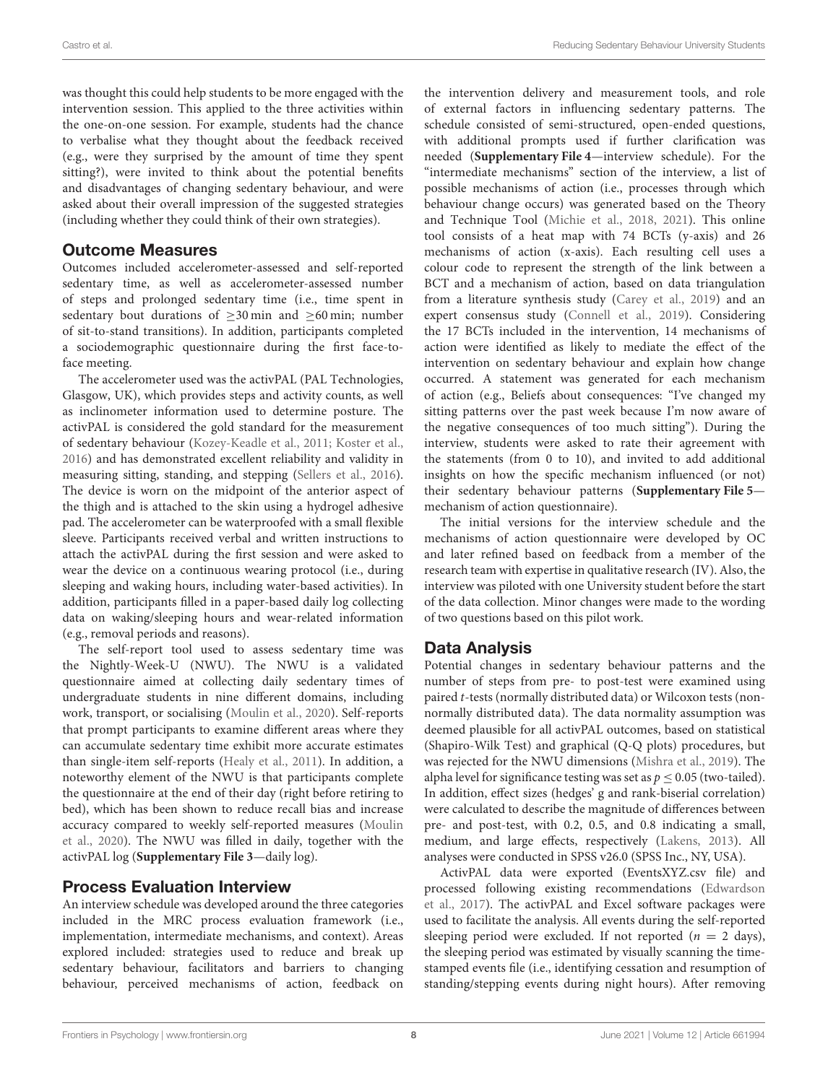was thought this could help students to be more engaged with the intervention session. This applied to the three activities within the one-on-one session. For example, students had the chance to verbalise what they thought about the feedback received (e.g., were they surprised by the amount of time they spent sitting?), were invited to think about the potential benefits and disadvantages of changing sedentary behaviour, and were asked about their overall impression of the suggested strategies (including whether they could think of their own strategies).

### Outcome Measures

Outcomes included accelerometer-assessed and self-reported sedentary time, as well as accelerometer-assessed number of steps and prolonged sedentary time (i.e., time spent in sedentary bout durations of  $\geq$ 30 min and  $\geq$ 60 min; number of sit-to-stand transitions). In addition, participants completed a sociodemographic questionnaire during the first face-toface meeting.

The accelerometer used was the activPAL (PAL Technologies, Glasgow, UK), which provides steps and activity counts, as well as inclinometer information used to determine posture. The activPAL is considered the gold standard for the measurement of sedentary behaviour [\(Kozey-Keadle et al., 2011;](#page-18-20) [Koster et al.,](#page-18-21) [2016\)](#page-18-21) and has demonstrated excellent reliability and validity in measuring sitting, standing, and stepping [\(Sellers et al., 2016\)](#page-18-22). The device is worn on the midpoint of the anterior aspect of the thigh and is attached to the skin using a hydrogel adhesive pad. The accelerometer can be waterproofed with a small flexible sleeve. Participants received verbal and written instructions to attach the activPAL during the first session and were asked to wear the device on a continuous wearing protocol (i.e., during sleeping and waking hours, including water-based activities). In addition, participants filled in a paper-based daily log collecting data on waking/sleeping hours and wear-related information (e.g., removal periods and reasons).

The self-report tool used to assess sedentary time was the Nightly-Week-U (NWU). The NWU is a validated questionnaire aimed at collecting daily sedentary times of undergraduate students in nine different domains, including work, transport, or socialising [\(Moulin et al., 2020\)](#page-18-23). Self-reports that prompt participants to examine different areas where they can accumulate sedentary time exhibit more accurate estimates than single-item self-reports [\(Healy et al., 2011\)](#page-18-24). In addition, a noteworthy element of the NWU is that participants complete the questionnaire at the end of their day (right before retiring to bed), which has been shown to reduce recall bias and increase accuracy compared to weekly self-reported measures (Moulin et al., [2020\)](#page-18-23). The NWU was filled in daily, together with the activPAL log (**[Supplementary File 3](#page-17-4)**—daily log).

### Process Evaluation Interview

An interview schedule was developed around the three categories included in the MRC process evaluation framework (i.e., implementation, intermediate mechanisms, and context). Areas explored included: strategies used to reduce and break up sedentary behaviour, facilitators and barriers to changing behaviour, perceived mechanisms of action, feedback on the intervention delivery and measurement tools, and role of external factors in influencing sedentary patterns. The schedule consisted of semi-structured, open-ended questions, with additional prompts used if further clarification was needed (**[Supplementary File 4](#page-17-4)**—interview schedule). For the "intermediate mechanisms" section of the interview, a list of possible mechanisms of action (i.e., processes through which behaviour change occurs) was generated based on the Theory and Technique Tool [\(Michie et al., 2018,](#page-18-25) [2021\)](#page-18-26). This online tool consists of a heat map with 74 BCTs (y-axis) and 26 mechanisms of action (x-axis). Each resulting cell uses a colour code to represent the strength of the link between a BCT and a mechanism of action, based on data triangulation from a literature synthesis study [\(Carey et al., 2019\)](#page-17-7) and an expert consensus study [\(Connell et al., 2019\)](#page-17-8). Considering the 17 BCTs included in the intervention, 14 mechanisms of action were identified as likely to mediate the effect of the intervention on sedentary behaviour and explain how change occurred. A statement was generated for each mechanism of action (e.g., Beliefs about consequences: "I've changed my sitting patterns over the past week because I'm now aware of the negative consequences of too much sitting"). During the interview, students were asked to rate their agreement with the statements (from 0 to 10), and invited to add additional insights on how the specific mechanism influenced (or not) their sedentary behaviour patterns (**[Supplementary File 5](#page-17-4)** mechanism of action questionnaire).

The initial versions for the interview schedule and the mechanisms of action questionnaire were developed by OC and later refined based on feedback from a member of the research team with expertise in qualitative research (IV). Also, the interview was piloted with one University student before the start of the data collection. Minor changes were made to the wording of two questions based on this pilot work.

# Data Analysis

Potential changes in sedentary behaviour patterns and the number of steps from pre- to post-test were examined using paired t-tests (normally distributed data) or Wilcoxon tests (nonnormally distributed data). The data normality assumption was deemed plausible for all activPAL outcomes, based on statistical (Shapiro-Wilk Test) and graphical (Q-Q plots) procedures, but was rejected for the NWU dimensions [\(Mishra et al., 2019\)](#page-18-27). The alpha level for significance testing was set as  $p \leq 0.05$  (two-tailed). In addition, effect sizes (hedges' g and rank-biserial correlation) were calculated to describe the magnitude of differences between pre- and post-test, with 0.2, 0.5, and 0.8 indicating a small, medium, and large effects, respectively [\(Lakens, 2013\)](#page-18-28). All analyses were conducted in SPSS v26.0 (SPSS Inc., NY, USA).

ActivPAL data were exported (EventsXYZ.csv file) and processed following existing recommendations (Edwardson et al., [2017\)](#page-18-29). The activPAL and Excel software packages were used to facilitate the analysis. All events during the self-reported sleeping period were excluded. If not reported ( $n = 2$  days), the sleeping period was estimated by visually scanning the timestamped events file (i.e., identifying cessation and resumption of standing/stepping events during night hours). After removing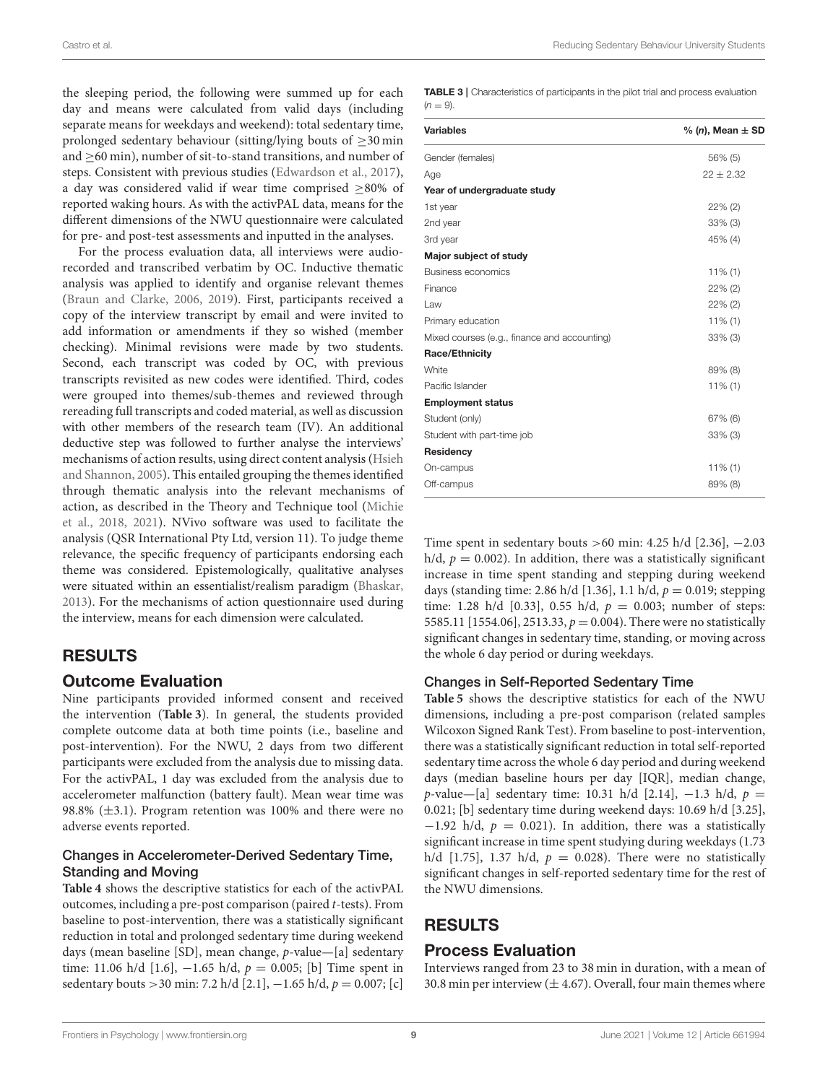the sleeping period, the following were summed up for each day and means were calculated from valid days (including separate means for weekdays and weekend): total sedentary time, prolonged sedentary behaviour (sitting/lying bouts of  $\geq$ 30 min and ≥60 min), number of sit-to-stand transitions, and number of steps. Consistent with previous studies [\(Edwardson et al., 2017\)](#page-18-29), a day was considered valid if wear time comprised ≥80% of reported waking hours. As with the activPAL data, means for the different dimensions of the NWU questionnaire were calculated for pre- and post-test assessments and inputted in the analyses.

For the process evaluation data, all interviews were audiorecorded and transcribed verbatim by OC. Inductive thematic analysis was applied to identify and organise relevant themes [\(Braun and Clarke, 2006,](#page-17-9) [2019\)](#page-17-10). First, participants received a copy of the interview transcript by email and were invited to add information or amendments if they so wished (member checking). Minimal revisions were made by two students. Second, each transcript was coded by OC, with previous transcripts revisited as new codes were identified. Third, codes were grouped into themes/sub-themes and reviewed through rereading full transcripts and coded material, as well as discussion with other members of the research team (IV). An additional deductive step was followed to further analyse the interviews' mechanisms of action results, using direct content analysis(Hsieh and Shannon, [2005\)](#page-18-30). This entailed grouping the themes identified through thematic analysis into the relevant mechanisms of action, as described in the Theory and Technique tool (Michie et al., [2018,](#page-18-25) [2021\)](#page-18-26). NVivo software was used to facilitate the analysis (QSR International Pty Ltd, version 11). To judge theme relevance, the specific frequency of participants endorsing each theme was considered. Epistemologically, qualitative analyses were situated within an essentialist/realism paradigm [\(Bhaskar,](#page-17-11) [2013\)](#page-17-11). For the mechanisms of action questionnaire used during the interview, means for each dimension were calculated.

# RESULTS

### Outcome Evaluation

Nine participants provided informed consent and received the intervention (**[Table 3](#page-8-0)**). In general, the students provided complete outcome data at both time points (i.e., baseline and post-intervention). For the NWU, 2 days from two different participants were excluded from the analysis due to missing data. For the activPAL, 1 day was excluded from the analysis due to accelerometer malfunction (battery fault). Mean wear time was 98.8%  $(\pm 3.1)$ . Program retention was 100% and there were no adverse events reported.

### Changes in Accelerometer-Derived Sedentary Time, Standing and Moving

**[Table 4](#page-9-0)** shows the descriptive statistics for each of the activPAL outcomes, including a pre-post comparison (paired t-tests). From baseline to post-intervention, there was a statistically significant reduction in total and prolonged sedentary time during weekend days (mean baseline [SD], mean change, p-value—[a] sedentary time: 11.06 h/d [1.6],  $-1.65$  h/d,  $p = 0.005$ ; [b] Time spent in sedentary bouts > 30 min: 7.2 h/d [2.1],  $-1.65$  h/d,  $p = 0.007$ ; [c]

<span id="page-8-0"></span>TABLE 3 | Characteristics of participants in the pilot trial and process evaluation  $(n = 9)$ 

| <b>Variables</b>                             | % (n), Mean $\pm$ SD |
|----------------------------------------------|----------------------|
| Gender (females)                             | 56% (5)              |
| Age                                          | $22 \pm 2.32$        |
| Year of undergraduate study                  |                      |
| 1st year                                     | 22% (2)              |
| 2nd year                                     | 33% (3)              |
| 3rd year                                     | 45% (4)              |
| Major subject of study                       |                      |
| Business economics                           | $11\%$ (1)           |
| Finance                                      | $22\%$ (2)           |
| Law                                          | 22% (2)              |
| Primary education                            | $11\%$ (1)           |
| Mixed courses (e.g., finance and accounting) | $33\%$ (3)           |
| Race/Ethnicity                               |                      |
| White                                        | 89% (8)              |
| Pacific Islander                             | $11\%$ (1)           |
| <b>Employment status</b>                     |                      |
| Student (only)                               | 67% (6)              |
| Student with part-time job                   | $33\%$ (3)           |
| Residency                                    |                      |
| On-campus                                    | $11\%$ (1)           |
| Off-campus                                   | 89% (8)              |

Time spent in sedentary bouts >60 min: 4.25 h/d [2.36], −2.03 h/d,  $p = 0.002$ ). In addition, there was a statistically significant increase in time spent standing and stepping during weekend days (standing time: 2.86 h/d [1.36], 1.1 h/d,  $p = 0.019$ ; stepping time: 1.28 h/d [0.33], 0.55 h/d,  $p = 0.003$ ; number of steps: 5585.11 [1554.06], 2513.33,  $p = 0.004$ ). There were no statistically significant changes in sedentary time, standing, or moving across the whole 6 day period or during weekdays.

### Changes in Self-Reported Sedentary Time

**[Table 5](#page-10-0)** shows the descriptive statistics for each of the NWU dimensions, including a pre-post comparison (related samples Wilcoxon Signed Rank Test). From baseline to post-intervention, there was a statistically significant reduction in total self-reported sedentary time across the whole 6 day period and during weekend days (median baseline hours per day [IQR], median change, p-value—[a] sedentary time: 10.31 h/d [2.14], -1.3 h/d,  $p =$ 0.021; [b] sedentary time during weekend days: 10.69 h/d [3.25],  $-1.92$  h/d,  $p = 0.021$ ). In addition, there was a statistically significant increase in time spent studying during weekdays (1.73 h/d [1.75], 1.37 h/d,  $p = 0.028$ ). There were no statistically significant changes in self-reported sedentary time for the rest of the NWU dimensions.

# RESULTS

# Process Evaluation

Interviews ranged from 23 to 38 min in duration, with a mean of 30.8 min per interview ( $\pm$  4.67). Overall, four main themes where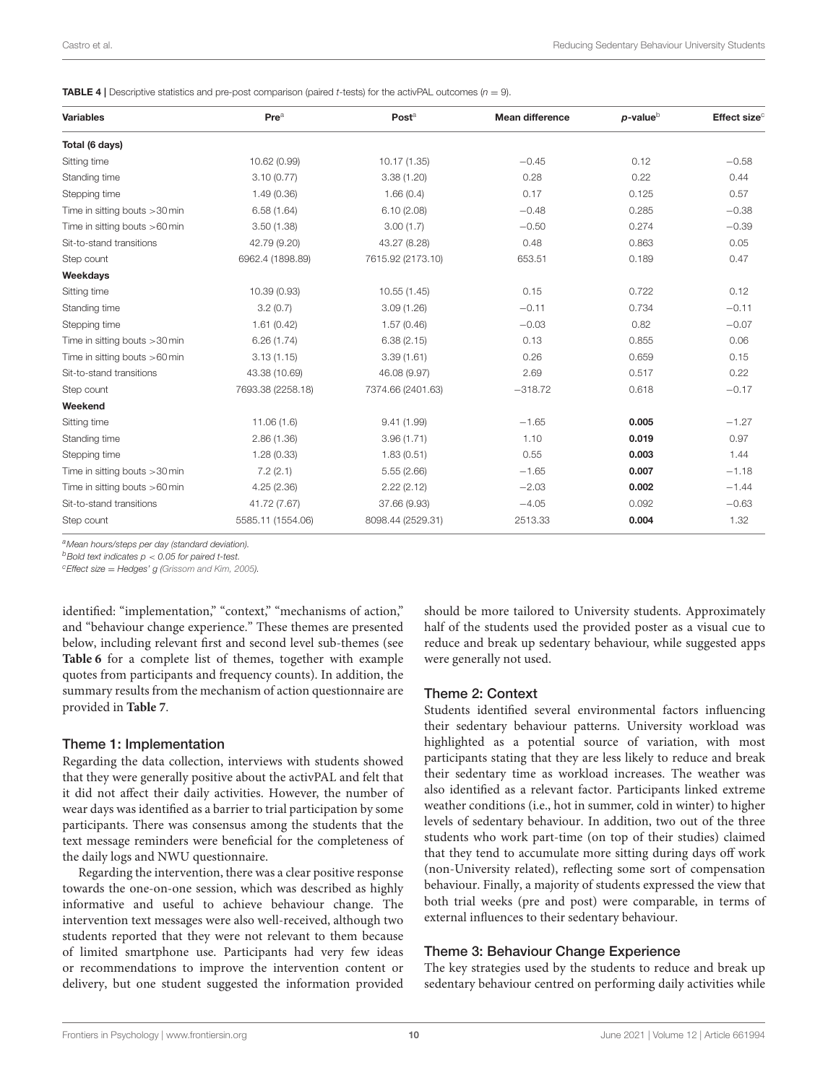<span id="page-9-0"></span>**TABLE 4** | Descriptive statistics and pre-post comparison (paired t-tests) for the activPAL outcomes ( $n = 9$ ).

| <b>Variables</b>                | Pre <sup>a</sup>  | Post <sup>a</sup> | <b>Mean difference</b> | $p$ -value $b$ | Effect size <sup>c</sup> |
|---------------------------------|-------------------|-------------------|------------------------|----------------|--------------------------|
| Total (6 days)                  |                   |                   |                        |                |                          |
| Sitting time                    | 10.62 (0.99)      | 10.17 (1.35)      | $-0.45$                | 0.12           | $-0.58$                  |
| Standing time                   | 3.10(0.77)        | 3.38(1.20)        | 0.28                   | 0.22           | 0.44                     |
| Stepping time                   | 1.49(0.36)        | 1.66(0.4)         | 0.17                   | 0.125          | 0.57                     |
| Time in sitting bouts > 30 min  | 6.58(1.64)        | 6.10(2.08)        | $-0.48$                | 0.285          | $-0.38$                  |
| Time in sitting bouts $>60$ min | 3.50(1.38)        | 3.00(1.7)         | $-0.50$                | 0.274          | $-0.39$                  |
| Sit-to-stand transitions        | 42.79 (9.20)      | 43.27 (8.28)      | 0.48                   | 0.863          | 0.05                     |
| Step count                      | 6962.4 (1898.89)  | 7615.92 (2173.10) | 653.51                 | 0.189          | 0.47                     |
| Weekdays                        |                   |                   |                        |                |                          |
| Sitting time                    | 10.39 (0.93)      | 10.55(1.45)       | 0.15                   | 0.722          | 0.12                     |
| Standing time                   | 3.2(0.7)          | 3.09(1.26)        | $-0.11$                | 0.734          | $-0.11$                  |
| Stepping time                   | 1.61(0.42)        | 1.57(0.46)        | $-0.03$                | 0.82           | $-0.07$                  |
| Time in sitting bouts > 30 min  | 6.26(1.74)        | 6.38(2.15)        | 0.13                   | 0.855          | 0.06                     |
| Time in sitting bouts $>60$ min | 3.13(1.15)        | 3.39(1.61)        | 0.26                   | 0.659          | 0.15                     |
| Sit-to-stand transitions        | 43.38 (10.69)     | 46.08 (9.97)      | 2.69                   | 0.517          | 0.22                     |
| Step count                      | 7693.38 (2258.18) | 7374.66 (2401.63) | $-318.72$              | 0.618          | $-0.17$                  |
| Weekend                         |                   |                   |                        |                |                          |
| Sitting time                    | 11.06(1.6)        | 9.41(1.99)        | $-1.65$                | 0.005          | $-1.27$                  |
| Standing time                   | 2.86(1.36)        | 3.96(1.71)        | 1.10                   | 0.019          | 0.97                     |
| Stepping time                   | 1.28(0.33)        | 1.83(0.51)        | 0.55                   | 0.003          | 1.44                     |
| Time in sitting bouts > 30 min  | 7.2(2.1)          | 5.55(2.66)        | $-1.65$                | 0.007          | $-1.18$                  |
| Time in sitting bouts $>60$ min | 4.25(2.36)        | 2.22(2.12)        | $-2.03$                | 0.002          | $-1.44$                  |
| Sit-to-stand transitions        | 41.72 (7.67)      | 37.66 (9.93)      | $-4.05$                | 0.092          | $-0.63$                  |
| Step count                      | 5585.11 (1554.06) | 8098.44 (2529.31) | 2513.33                | 0.004          | 1.32                     |

aMean hours/steps per day (standard deviation).

 $b$ Bold text indicates  $p < 0.05$  for paired t-test.

 $c$ Effect size = Hedges' g [\(Grissom and Kim, 2005\)](#page-18-31).

identified: "implementation," "context," "mechanisms of action," and "behaviour change experience." These themes are presented below, including relevant first and second level sub-themes (see **[Table 6](#page-11-0)** for a complete list of themes, together with example quotes from participants and frequency counts). In addition, the summary results from the mechanism of action questionnaire are provided in **[Table 7](#page-14-0)**.

### Theme 1: Implementation

Regarding the data collection, interviews with students showed that they were generally positive about the activPAL and felt that it did not affect their daily activities. However, the number of wear days was identified as a barrier to trial participation by some participants. There was consensus among the students that the text message reminders were beneficial for the completeness of the daily logs and NWU questionnaire.

Regarding the intervention, there was a clear positive response towards the one-on-one session, which was described as highly informative and useful to achieve behaviour change. The intervention text messages were also well-received, although two students reported that they were not relevant to them because of limited smartphone use. Participants had very few ideas or recommendations to improve the intervention content or delivery, but one student suggested the information provided should be more tailored to University students. Approximately half of the students used the provided poster as a visual cue to reduce and break up sedentary behaviour, while suggested apps were generally not used.

#### Theme 2: Context

Students identified several environmental factors influencing their sedentary behaviour patterns. University workload was highlighted as a potential source of variation, with most participants stating that they are less likely to reduce and break their sedentary time as workload increases. The weather was also identified as a relevant factor. Participants linked extreme weather conditions (i.e., hot in summer, cold in winter) to higher levels of sedentary behaviour. In addition, two out of the three students who work part-time (on top of their studies) claimed that they tend to accumulate more sitting during days off work (non-University related), reflecting some sort of compensation behaviour. Finally, a majority of students expressed the view that both trial weeks (pre and post) were comparable, in terms of external influences to their sedentary behaviour.

### Theme 3: Behaviour Change Experience

The key strategies used by the students to reduce and break up sedentary behaviour centred on performing daily activities while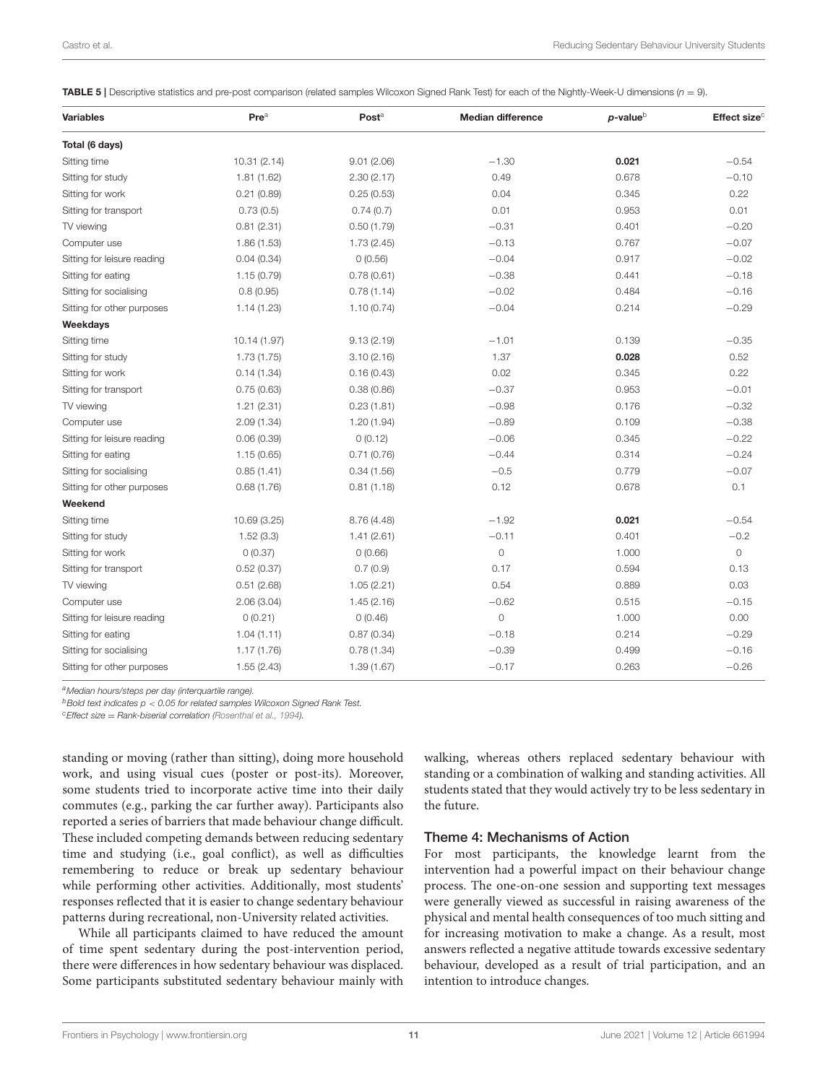<span id="page-10-0"></span>**TABLE 5** | Descriptive statistics and pre-post comparison (related samples Wilcoxon Signed Rank Test) for each of the Nightly-Week-U dimensions ( $n = 9$ ).

| <b>Variables</b>            | Pre <sup>a</sup> | Post <sup>a</sup> | <b>Median difference</b> | $p$ -value $\circ$ | Effect size <sup>c</sup> |
|-----------------------------|------------------|-------------------|--------------------------|--------------------|--------------------------|
| Total (6 days)              |                  |                   |                          |                    |                          |
| Sitting time                | 10.31(2.14)      | 9.01(2.06)        | $-1.30$                  | 0.021              | $-0.54$                  |
| Sitting for study           | 1.81(1.62)       | 2.30(2.17)        | 0.49                     | 0.678              | $-0.10$                  |
| Sitting for work            | 0.21(0.89)       | 0.25(0.53)        | 0.04                     | 0.345              | 0.22                     |
| Sitting for transport       | 0.73(0.5)        | 0.74(0.7)         | 0.01                     | 0.953              | 0.01                     |
| TV viewing                  | 0.81(2.31)       | 0.50(1.79)        | $-0.31$                  | 0.401              | $-0.20$                  |
| Computer use                | 1.86(1.53)       | 1.73(2.45)        | $-0.13$                  | 0.767              | $-0.07$                  |
| Sitting for leisure reading | 0.04(0.34)       | 0(0.56)           | $-0.04$                  | 0.917              | $-0.02$                  |
| Sitting for eating          | 1.15(0.79)       | 0.78(0.61)        | $-0.38$                  | 0.441              | $-0.18$                  |
| Sitting for socialising     | 0.8(0.95)        | 0.78(1.14)        | $-0.02$                  | 0.484              | $-0.16$                  |
| Sitting for other purposes  | 1.14(1.23)       | 1.10(0.74)        | $-0.04$                  | 0.214              | $-0.29$                  |
| Weekdays                    |                  |                   |                          |                    |                          |
| Sitting time                | 10.14 (1.97)     | 9.13(2.19)        | $-1.01$                  | 0.139              | $-0.35$                  |
| Sitting for study           | 1.73(1.75)       | 3.10(2.16)        | 1.37                     | 0.028              | 0.52                     |
| Sitting for work            | 0.14(1.34)       | 0.16(0.43)        | 0.02                     | 0.345              | 0.22                     |
| Sitting for transport       | 0.75(0.63)       | 0.38(0.86)        | $-0.37$                  | 0.953              | $-0.01$                  |
| TV viewing                  | 1.21(2.31)       | 0.23(1.81)        | $-0.98$                  | 0.176              | $-0.32$                  |
| Computer use                | 2.09(1.34)       | 1.20(1.94)        | $-0.89$                  | 0.109              | $-0.38$                  |
| Sitting for leisure reading | 0.06(0.39)       | 0(0.12)           | $-0.06$                  | 0.345              | $-0.22$                  |
| Sitting for eating          | 1.15(0.65)       | 0.71(0.76)        | $-0.44$                  | 0.314              | $-0.24$                  |
| Sitting for socialising     | 0.85(1.41)       | 0.34(1.56)        | $-0.5$                   | 0.779              | $-0.07$                  |
| Sitting for other purposes  | 0.68(1.76)       | 0.81(1.18)        | 0.12                     | 0.678              | 0.1                      |
| Weekend                     |                  |                   |                          |                    |                          |
| Sitting time                | 10.69 (3.25)     | 8.76 (4.48)       | $-1.92$                  | 0.021              | $-0.54$                  |
| Sitting for study           | 1.52(3.3)        | 1.41(2.61)        | $-0.11$                  | 0.401              | $-0.2$                   |
| Sitting for work            | 0(0.37)          | 0(0.66)           | $\circ$                  | 1.000              | $\circ$                  |
| Sitting for transport       | 0.52(0.37)       | 0.7(0.9)          | 0.17                     | 0.594              | 0.13                     |
| TV viewing                  | 0.51(2.68)       | 1.05(2.21)        | 0.54                     | 0.889              | 0.03                     |
| Computer use                | 2.06(3.04)       | 1.45(2.16)        | $-0.62$                  | 0.515              | $-0.15$                  |
| Sitting for leisure reading | 0(0.21)          | 0(0.46)           | $\mathsf{O}\xspace$      | 1.000              | 0.00                     |
| Sitting for eating          | 1.04(1.11)       | 0.87(0.34)        | $-0.18$                  | 0.214              | $-0.29$                  |
| Sitting for socialising     | 1.17(1.76)       | 0.78(1.34)        | $-0.39$                  | 0.499              | $-0.16$                  |
| Sitting for other purposes  | 1.55(2.43)       | 1.39(1.67)        | $-0.17$                  | 0.263              | $-0.26$                  |

<sup>a</sup>Median hours/steps per day (interquartile range).

 $b$ Bold text indicates  $p < 0.05$  for related samples Wilcoxon Signed Rank Test.

 $c$ Effect size = Rank-biserial correlation [\(Rosenthal et al., 1994\)](#page-18-32).

standing or moving (rather than sitting), doing more household work, and using visual cues (poster or post-its). Moreover, some students tried to incorporate active time into their daily commutes (e.g., parking the car further away). Participants also reported a series of barriers that made behaviour change difficult. These included competing demands between reducing sedentary time and studying (i.e., goal conflict), as well as difficulties remembering to reduce or break up sedentary behaviour while performing other activities. Additionally, most students' responses reflected that it is easier to change sedentary behaviour patterns during recreational, non-University related activities.

While all participants claimed to have reduced the amount of time spent sedentary during the post-intervention period, there were differences in how sedentary behaviour was displaced. Some participants substituted sedentary behaviour mainly with

walking, whereas others replaced sedentary behaviour with standing or a combination of walking and standing activities. All students stated that they would actively try to be less sedentary in the future.

#### Theme 4: Mechanisms of Action

For most participants, the knowledge learnt from the intervention had a powerful impact on their behaviour change process. The one-on-one session and supporting text messages were generally viewed as successful in raising awareness of the physical and mental health consequences of too much sitting and for increasing motivation to make a change. As a result, most answers reflected a negative attitude towards excessive sedentary behaviour, developed as a result of trial participation, and an intention to introduce changes.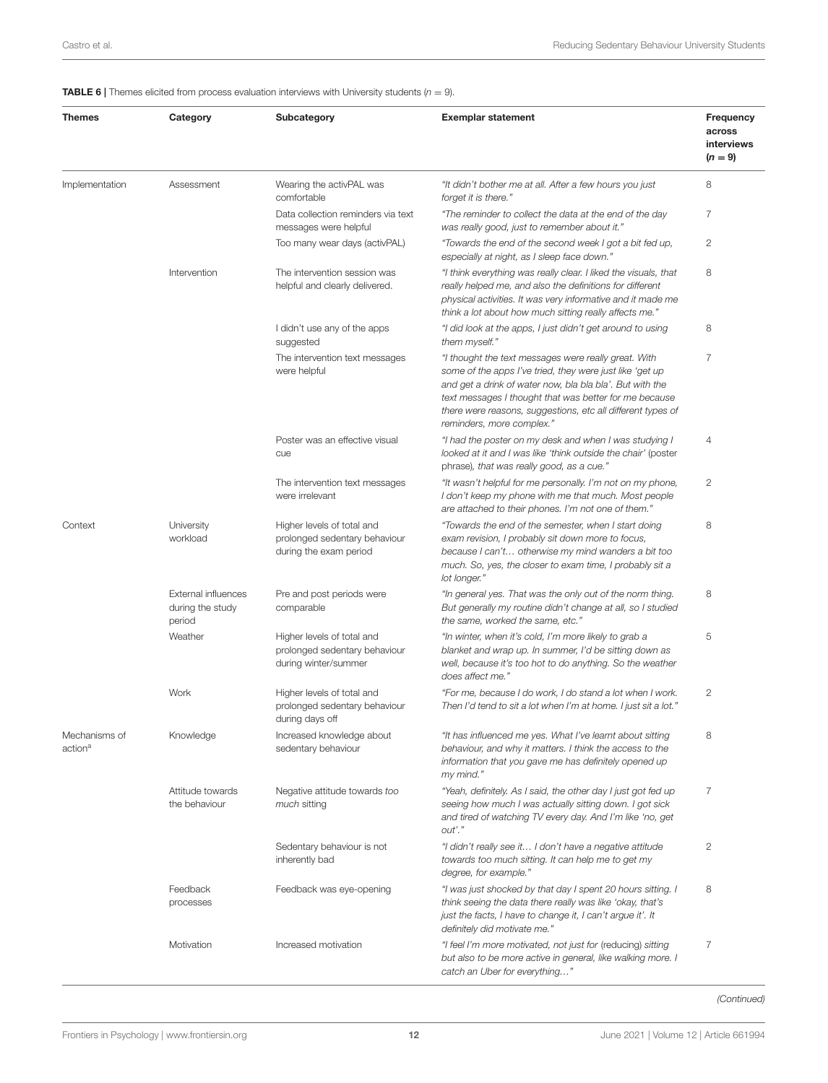<span id="page-11-0"></span>**TABLE 6** | Themes elicited from process evaluation interviews with University students  $(n = 9)$ .

| Themes                               | Category                                                 | Subcategory                                                                           | <b>Exemplar statement</b>                                                                                                                                                                                                                                                                                                          | <b>Frequency</b><br>across<br>interviews |
|--------------------------------------|----------------------------------------------------------|---------------------------------------------------------------------------------------|------------------------------------------------------------------------------------------------------------------------------------------------------------------------------------------------------------------------------------------------------------------------------------------------------------------------------------|------------------------------------------|
|                                      |                                                          |                                                                                       |                                                                                                                                                                                                                                                                                                                                    | $(n = 9)$                                |
| Implementation                       | Assessment                                               | Wearing the activPAL was<br>comfortable                                               | "It didn't bother me at all. After a few hours you just<br>forget it is there."                                                                                                                                                                                                                                                    | 8                                        |
|                                      |                                                          | Data collection reminders via text<br>messages were helpful                           | "The reminder to collect the data at the end of the day<br>was really good, just to remember about it."                                                                                                                                                                                                                            | $\overline{7}$                           |
|                                      |                                                          | Too many wear days (activPAL)                                                         | "Towards the end of the second week I got a bit fed up,<br>especially at night, as I sleep face down."                                                                                                                                                                                                                             | $\mathbf{2}$                             |
|                                      | Intervention                                             | The intervention session was<br>helpful and clearly delivered.                        | "I think everything was really clear. I liked the visuals, that<br>really helped me, and also the definitions for different<br>physical activities. It was very informative and it made me<br>think a lot about how much sitting really affects me."                                                                               | 8                                        |
|                                      |                                                          | I didn't use any of the apps<br>suggested                                             | "I did look at the apps, I just didn't get around to using<br>them myself."                                                                                                                                                                                                                                                        | 8                                        |
|                                      |                                                          | The intervention text messages<br>were helpful                                        | "I thought the text messages were really great. With<br>some of the apps I've tried, they were just like 'get up<br>and get a drink of water now, bla bla bla'. But with the<br>text messages I thought that was better for me because<br>there were reasons, suggestions, etc all different types of<br>reminders, more complex." | $\overline{7}$                           |
|                                      |                                                          | Poster was an effective visual<br>cue                                                 | "I had the poster on my desk and when I was studying I<br>looked at it and I was like 'think outside the chair' (poster<br>phrase), that was really good, as a cue."                                                                                                                                                               | 4                                        |
|                                      |                                                          | The intervention text messages<br>were irrelevant                                     | "It wasn't helpful for me personally. I'm not on my phone,<br>I don't keep my phone with me that much. Most people<br>are attached to their phones. I'm not one of them."                                                                                                                                                          | $\mathbf{2}$                             |
| Context                              | University<br>workload                                   | Higher levels of total and<br>prolonged sedentary behaviour<br>during the exam period | "Towards the end of the semester, when I start doing<br>exam revision, I probably sit down more to focus,<br>because I can't otherwise my mind wanders a bit too<br>much. So, yes, the closer to exam time, I probably sit a<br>lot longer."                                                                                       | 8                                        |
|                                      | <b>External influences</b><br>during the study<br>period | Pre and post periods were<br>comparable                                               | "In general yes. That was the only out of the norm thing.<br>But generally my routine didn't change at all, so I studied<br>the same, worked the same, etc."                                                                                                                                                                       | 8                                        |
|                                      | Weather                                                  | Higher levels of total and<br>prolonged sedentary behaviour<br>during winter/summer   | "In winter, when it's cold, I'm more likely to grab a<br>blanket and wrap up. In summer, I'd be sitting down as<br>well, because it's too hot to do anything. So the weather<br>does affect me."                                                                                                                                   | 5                                        |
|                                      | Work                                                     | Higher levels of total and<br>prolonged sedentary behaviour<br>during days off        | "For me, because I do work, I do stand a lot when I work.<br>Then I'd tend to sit a lot when I'm at home. I just sit a lot."                                                                                                                                                                                                       | $\mathbf{2}$                             |
| Mechanisms of<br>action <sup>a</sup> | Knowledge                                                | Increased knowledge about<br>sedentary behaviour                                      | "It has influenced me yes. What I've learnt about sitting<br>behaviour, and why it matters. I think the access to the<br>information that you gave me has definitely opened up<br>my mind."                                                                                                                                        | 8                                        |
|                                      | Attitude towards<br>the behaviour                        | Negative attitude towards too<br>much sitting                                         | "Yeah, definitely. As I said, the other day I just got fed up<br>seeing how much I was actually sitting down. I got sick<br>and tired of watching TV every day. And I'm like 'no, get<br>out'."                                                                                                                                    | 7                                        |
|                                      |                                                          | Sedentary behaviour is not<br>inherently bad                                          | "I didn't really see it I don't have a negative attitude<br>towards too much sitting. It can help me to get my<br>degree, for example."                                                                                                                                                                                            | 2                                        |
|                                      | Feedback<br>processes                                    | Feedback was eye-opening                                                              | "I was just shocked by that day I spent 20 hours sitting. I<br>think seeing the data there really was like 'okay, that's<br>just the facts, I have to change it, I can't argue it'. It<br>definitely did motivate me."                                                                                                             | 8                                        |
|                                      | Motivation                                               | Increased motivation                                                                  | "I feel I'm more motivated, not just for (reducing) sitting<br>but also to be more active in general, like walking more. I<br>catch an Uber for everything"                                                                                                                                                                        | 7                                        |

(Continued)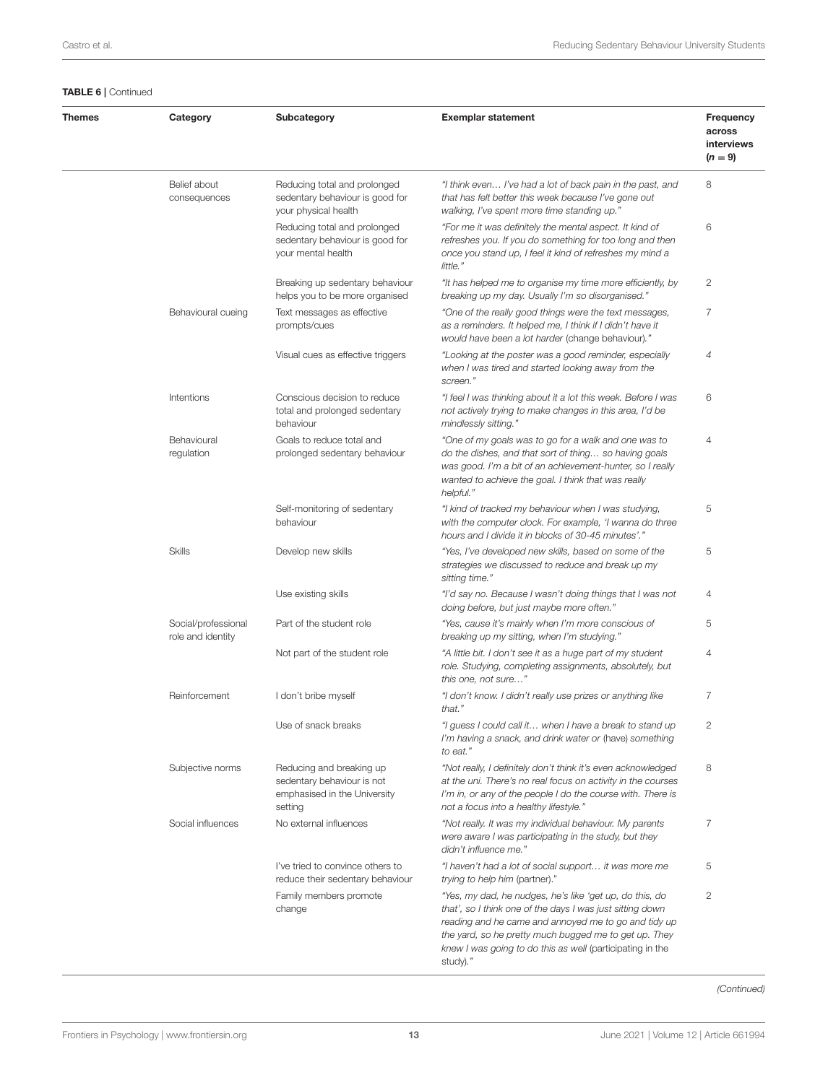### TABLE 6 | Continued

| <b>Themes</b> | Category                                 | Subcategory                                                                                       | <b>Exemplar statement</b>                                                                                                                                                                                                                                                                                      | Frequency<br>across<br>interviews |
|---------------|------------------------------------------|---------------------------------------------------------------------------------------------------|----------------------------------------------------------------------------------------------------------------------------------------------------------------------------------------------------------------------------------------------------------------------------------------------------------------|-----------------------------------|
|               |                                          |                                                                                                   |                                                                                                                                                                                                                                                                                                                | $(n = 9)$                         |
|               | Belief about<br>consequences             | Reducing total and prolonged<br>sedentary behaviour is good for<br>your physical health           | "I think even I've had a lot of back pain in the past, and<br>that has felt better this week because I've gone out<br>walking, I've spent more time standing up."                                                                                                                                              | 8                                 |
|               |                                          | Reducing total and prolonged<br>sedentary behaviour is good for<br>your mental health             | "For me it was definitely the mental aspect. It kind of<br>refreshes you. If you do something for too long and then<br>once you stand up, I feel it kind of refreshes my mind a<br>little."                                                                                                                    | 6                                 |
|               |                                          | Breaking up sedentary behaviour<br>helps you to be more organised                                 | "It has helped me to organise my time more efficiently, by<br>breaking up my day. Usually I'm so disorganised."                                                                                                                                                                                                | 2                                 |
|               | Behavioural cueing                       | Text messages as effective<br>prompts/cues                                                        | "One of the really good things were the text messages,<br>as a reminders. It helped me, I think if I didn't have it<br>would have been a lot harder (change behaviour)."                                                                                                                                       | 7                                 |
|               |                                          | Visual cues as effective triggers                                                                 | "Looking at the poster was a good reminder, especially<br>when I was tired and started looking away from the<br>screen."                                                                                                                                                                                       | 4                                 |
|               | Intentions                               | Conscious decision to reduce<br>total and prolonged sedentary<br>behaviour                        | "I feel I was thinking about it a lot this week. Before I was<br>not actively trying to make changes in this area, I'd be<br>mindlessly sitting."                                                                                                                                                              | 6                                 |
|               | Behavioural<br>regulation                | Goals to reduce total and<br>prolonged sedentary behaviour                                        | "One of my goals was to go for a walk and one was to<br>do the dishes, and that sort of thing so having goals<br>was good. I'm a bit of an achievement-hunter, so I really<br>wanted to achieve the goal. I think that was really<br>helpful."                                                                 | 4                                 |
|               |                                          | Self-monitoring of sedentary<br>behaviour                                                         | "I kind of tracked my behaviour when I was studying,<br>with the computer clock. For example, 'I wanna do three<br>hours and I divide it in blocks of 30-45 minutes'."                                                                                                                                         | 5                                 |
|               | <b>Skills</b>                            | Develop new skills                                                                                | "Yes, I've developed new skills, based on some of the<br>strategies we discussed to reduce and break up my<br>sitting time."                                                                                                                                                                                   | 5                                 |
|               |                                          | Use existing skills                                                                               | "I'd say no. Because I wasn't doing things that I was not<br>doing before, but just maybe more often."                                                                                                                                                                                                         | 4                                 |
|               | Social/professional<br>role and identity | Part of the student role                                                                          | "Yes, cause it's mainly when I'm more conscious of<br>breaking up my sitting, when I'm studying."                                                                                                                                                                                                              | 5                                 |
|               |                                          | Not part of the student role                                                                      | "A little bit. I don't see it as a huge part of my student<br>role. Studying, completing assignments, absolutely, but<br>this one, not sure"                                                                                                                                                                   | 4                                 |
|               | Reinforcement                            | I don't bribe myself                                                                              | "I don't know. I didn't really use prizes or anything like<br>that."                                                                                                                                                                                                                                           | 7                                 |
|               |                                          | Use of snack breaks                                                                               | "I guess I could call it when I have a break to stand up<br>I'm having a snack, and drink water or (have) something<br>to eat."                                                                                                                                                                                | 2                                 |
|               | Subjective norms                         | Reducing and breaking up<br>sedentary behaviour is not<br>emphasised in the University<br>setting | "Not really, I definitely don't think it's even acknowledged<br>at the uni. There's no real focus on activity in the courses<br>I'm in, or any of the people I do the course with. There is<br>not a focus into a healthy lifestyle."                                                                          | 8                                 |
|               | Social influences                        | No external influences                                                                            | "Not really. It was my individual behaviour. My parents<br>were aware I was participating in the study, but they<br>didn't influence me."                                                                                                                                                                      | $\overline{7}$                    |
|               |                                          | I've tried to convince others to<br>reduce their sedentary behaviour                              | "I haven't had a lot of social support it was more me<br>trying to help him (partner)."                                                                                                                                                                                                                        | 5                                 |
|               |                                          | Family members promote<br>change                                                                  | "Yes, my dad, he nudges, he's like 'get up, do this, do<br>that', so I think one of the days I was just sitting down<br>reading and he came and annoyed me to go and tidy up<br>the yard, so he pretty much bugged me to get up. They<br>knew I was going to do this as well (participating in the<br>study)." | $\mathbf{2}$                      |

(Continued)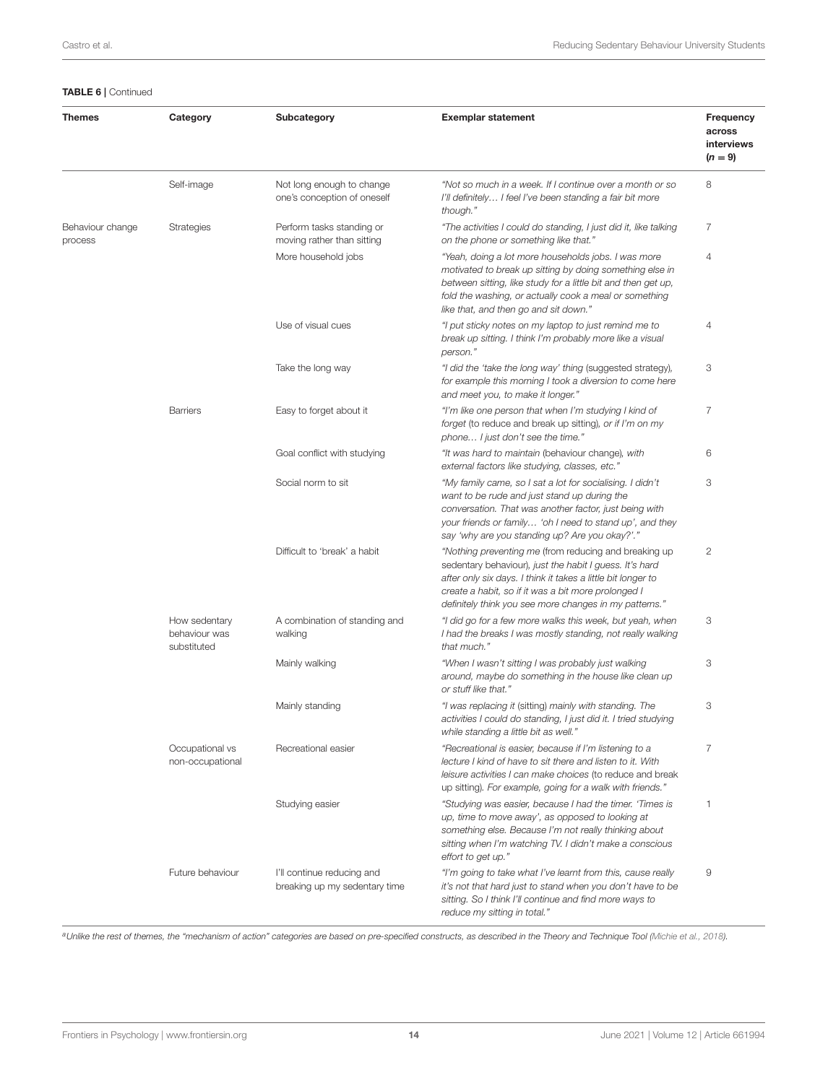#### TABLE 6 | Continued

| <b>Themes</b>               | Category                                      | Subcategory                                                 | <b>Exemplar statement</b>                                                                                                                                                                                                                                                                         | Frequency<br>across<br>interviews<br>$(n = 9)$ |
|-----------------------------|-----------------------------------------------|-------------------------------------------------------------|---------------------------------------------------------------------------------------------------------------------------------------------------------------------------------------------------------------------------------------------------------------------------------------------------|------------------------------------------------|
|                             | Self-image                                    | Not long enough to change<br>one's conception of oneself    | "Not so much in a week. If I continue over a month or so<br>I'll definitely I feel I've been standing a fair bit more<br>though."                                                                                                                                                                 | 8                                              |
| Behaviour change<br>process | <b>Strategies</b>                             | Perform tasks standing or<br>moving rather than sitting     | "The activities I could do standing, I just did it, like talking<br>on the phone or something like that."                                                                                                                                                                                         | 7                                              |
|                             |                                               | More household jobs                                         | "Yeah, doing a lot more households jobs. I was more<br>motivated to break up sitting by doing something else in<br>between sitting, like study for a little bit and then get up,<br>fold the washing, or actually cook a meal or something<br>like that, and then go and sit down."               | 4                                              |
|                             |                                               | Use of visual cues                                          | "I put sticky notes on my laptop to just remind me to<br>break up sitting. I think I'm probably more like a visual<br>person."                                                                                                                                                                    | 4                                              |
|                             |                                               | Take the long way                                           | "I did the 'take the long way' thing (suggested strategy),<br>for example this morning I took a diversion to come here<br>and meet you, to make it longer."                                                                                                                                       | 3                                              |
|                             | <b>Barriers</b>                               | Easy to forget about it                                     | "I'm like one person that when I'm studying I kind of<br>forget (to reduce and break up sitting), or if I'm on my<br>phone I just don't see the time."                                                                                                                                            | $\overline{7}$                                 |
|                             |                                               | Goal conflict with studying                                 | "It was hard to maintain (behaviour change), with<br>external factors like studying, classes, etc."                                                                                                                                                                                               | 6                                              |
|                             |                                               | Social norm to sit                                          | "My family came, so I sat a lot for socialising. I didn't<br>want to be rude and just stand up during the<br>conversation. That was another factor, just being with<br>your friends or family 'oh I need to stand up', and they<br>say 'why are you standing up? Are you okay?'."                 | 3                                              |
|                             |                                               | Difficult to 'break' a habit                                | "Nothing preventing me (from reducing and breaking up<br>sedentary behaviour), just the habit I guess. It's hard<br>after only six days. I think it takes a little bit longer to<br>create a habit, so if it was a bit more prolonged I<br>definitely think you see more changes in my patterns." | 2                                              |
|                             | How sedentary<br>behaviour was<br>substituted | A combination of standing and<br>walking                    | "I did go for a few more walks this week, but yeah, when<br>I had the breaks I was mostly standing, not really walking<br>that much."                                                                                                                                                             | 3                                              |
|                             |                                               | Mainly walking                                              | "When I wasn't sitting I was probably just walking<br>around, maybe do something in the house like clean up<br>or stuff like that."                                                                                                                                                               | 3                                              |
|                             |                                               | Mainly standing                                             | "I was replacing it (sitting) mainly with standing. The<br>activities I could do standing, I just did it. I tried studying<br>while standing a little bit as well."                                                                                                                               | 3                                              |
|                             | Occupational vs<br>non-occupational           | Recreational easier                                         | "Recreational is easier, because if I'm listening to a<br>lecture I kind of have to sit there and listen to it. With<br>leisure activities I can make choices (to reduce and break<br>up sitting). For example, going for a walk with friends."                                                   | 7                                              |
|                             |                                               | Studying easier                                             | "Studying was easier, because I had the timer. 'Times is<br>up, time to move away', as opposed to looking at<br>something else. Because I'm not really thinking about<br>sitting when I'm watching TV. I didn't make a conscious<br>effort to get up."                                            | 1                                              |
|                             | Future behaviour                              | I'll continue reducing and<br>breaking up my sedentary time | "I'm going to take what I've learnt from this, cause really<br>it's not that hard just to stand when you don't have to be<br>sitting. So I think I'll continue and find more ways to<br>reduce my sitting in total."                                                                              | 9                                              |

a Unlike the rest of themes, the "mechanism of action" categories are based on pre-specified constructs, as described in the Theory and Technique Tool [\(Michie et al., 2018\)](#page-18-25).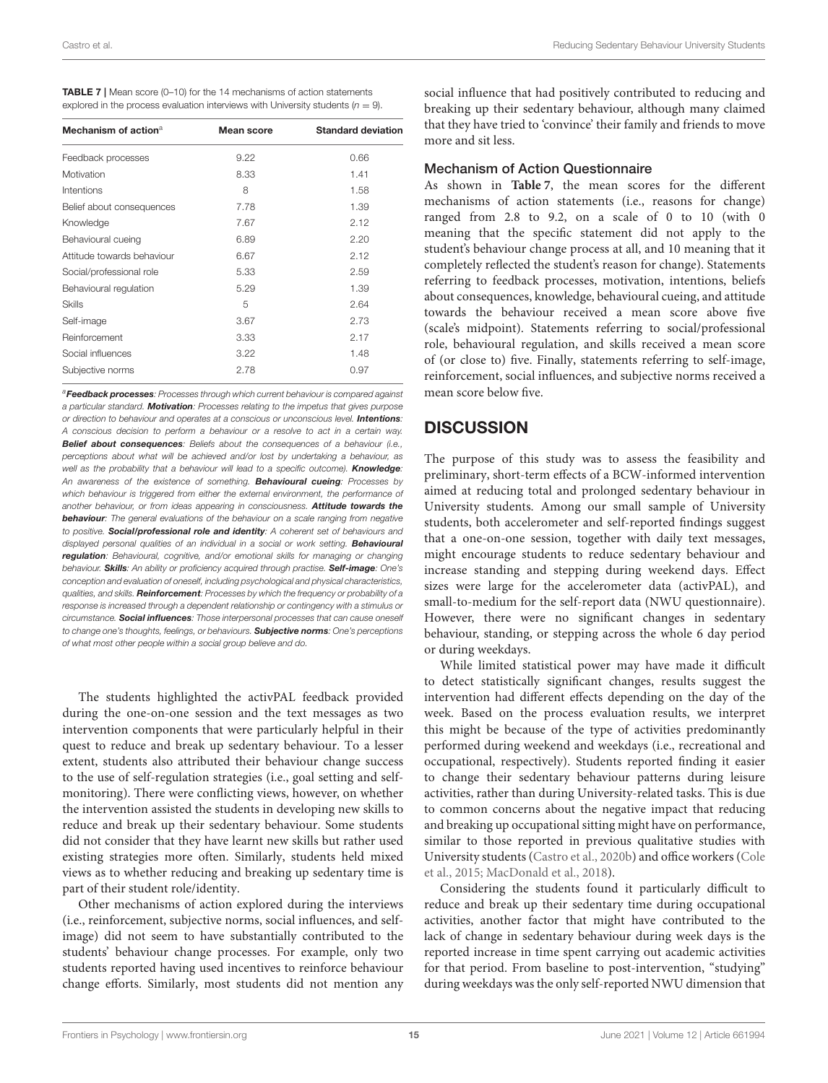<span id="page-14-0"></span>

| <b>TABLE 7</b>   Mean score (0-10) for the 14 mechanisms of action statements      |
|------------------------------------------------------------------------------------|
| explored in the process evaluation interviews with University students $(n = 9)$ . |

| Mechanism of action <sup>a</sup> | Mean score | <b>Standard deviation</b> |
|----------------------------------|------------|---------------------------|
| Feedback processes               | 9.22       | 0.66                      |
| Motivation                       | 8.33       | 1.41                      |
| Intentions                       | 8          | 1.58                      |
| Belief about consequences        | 7.78       | 1.39                      |
| Knowledge                        | 7.67       | 2.12                      |
| Behavioural cueing               | 6.89       | 2.20                      |
| Attitude towards behaviour       | 6.67       | 2.12                      |
| Social/professional role         | 5.33       | 2.59                      |
| Behavioural regulation           | 5.29       | 1.39                      |
| Skills                           | 5          | 2.64                      |
| Self-image                       | 3.67       | 2.73                      |
| Reinforcement                    | 3.33       | 2.17                      |
| Social influences                | 3.22       | 1.48                      |
| Subjective norms                 | 2.78       | 0.97                      |

<sup>a</sup>Feedback processes: Processes through which current behaviour is compared against a particular standard. Motivation: Processes relating to the impetus that gives purpose or direction to behaviour and operates at a conscious or unconscious level. **Intentions:** A conscious decision to perform a behaviour or a resolve to act in a certain way. **Belief about consequences**: Beliefs about the consequences of a behaviour (i.e., perceptions about what will be achieved and/or lost by undertaking a behaviour, as well as the probability that a behaviour will lead to a specific outcome). Knowledge: An awareness of the existence of something. **Behavioural cueing**: Processes by which behaviour is triggered from either the external environment, the performance of another behaviour, or from ideas appearing in consciousness. **Attitude towards the** behaviour: The general evaluations of the behaviour on a scale ranging from negative to positive. Social/professional role and identity: A coherent set of behaviours and displayed personal qualities of an individual in a social or work setting. Behavioural regulation: Behavioural, cognitive, and/or emotional skills for managing or changing behaviour. Skills: An ability or proficiency acquired through practise. Self-image: One's conception and evaluation of oneself, including psychological and physical characteristics, qualities, and skills. Reinforcement: Processes by which the frequency or probability of a response is increased through a dependent relationship or contingency with a stimulus or circumstance. Social influences: Those interpersonal processes that can cause oneself to change one's thoughts, feelings, or behaviours. Subjective norms: One's perceptions of what most other people within a social group believe and do.

The students highlighted the activPAL feedback provided during the one-on-one session and the text messages as two intervention components that were particularly helpful in their quest to reduce and break up sedentary behaviour. To a lesser extent, students also attributed their behaviour change success to the use of self-regulation strategies (i.e., goal setting and selfmonitoring). There were conflicting views, however, on whether the intervention assisted the students in developing new skills to reduce and break up their sedentary behaviour. Some students did not consider that they have learnt new skills but rather used existing strategies more often. Similarly, students held mixed views as to whether reducing and breaking up sedentary time is part of their student role/identity.

Other mechanisms of action explored during the interviews (i.e., reinforcement, subjective norms, social influences, and selfimage) did not seem to have substantially contributed to the students' behaviour change processes. For example, only two students reported having used incentives to reinforce behaviour change efforts. Similarly, most students did not mention any social influence that had positively contributed to reducing and breaking up their sedentary behaviour, although many claimed that they have tried to 'convince' their family and friends to move more and sit less.

### Mechanism of Action Questionnaire

As shown in **[Table 7](#page-14-0)**, the mean scores for the different mechanisms of action statements (i.e., reasons for change) ranged from 2.8 to 9.2, on a scale of 0 to 10 (with 0 meaning that the specific statement did not apply to the student's behaviour change process at all, and 10 meaning that it completely reflected the student's reason for change). Statements referring to feedback processes, motivation, intentions, beliefs about consequences, knowledge, behavioural cueing, and attitude towards the behaviour received a mean score above five (scale's midpoint). Statements referring to social/professional role, behavioural regulation, and skills received a mean score of (or close to) five. Finally, statements referring to self-image, reinforcement, social influences, and subjective norms received a mean score below five.

# **DISCUSSION**

The purpose of this study was to assess the feasibility and preliminary, short-term effects of a BCW-informed intervention aimed at reducing total and prolonged sedentary behaviour in University students. Among our small sample of University students, both accelerometer and self-reported findings suggest that a one-on-one session, together with daily text messages, might encourage students to reduce sedentary behaviour and increase standing and stepping during weekend days. Effect sizes were large for the accelerometer data (activPAL), and small-to-medium for the self-report data (NWU questionnaire). However, there were no significant changes in sedentary behaviour, standing, or stepping across the whole 6 day period or during weekdays.

While limited statistical power may have made it difficult to detect statistically significant changes, results suggest the intervention had different effects depending on the day of the week. Based on the process evaluation results, we interpret this might be because of the type of activities predominantly performed during weekend and weekdays (i.e., recreational and occupational, respectively). Students reported finding it easier to change their sedentary behaviour patterns during leisure activities, rather than during University-related tasks. This is due to common concerns about the negative impact that reducing and breaking up occupational sitting might have on performance, similar to those reported in previous qualitative studies with University students [\(Castro et al., 2020b\)](#page-17-5) and office workers (Cole et al., [2015;](#page-17-12) [MacDonald et al., 2018\)](#page-18-33).

Considering the students found it particularly difficult to reduce and break up their sedentary time during occupational activities, another factor that might have contributed to the lack of change in sedentary behaviour during week days is the reported increase in time spent carrying out academic activities for that period. From baseline to post-intervention, "studying" during weekdays was the only self-reported NWU dimension that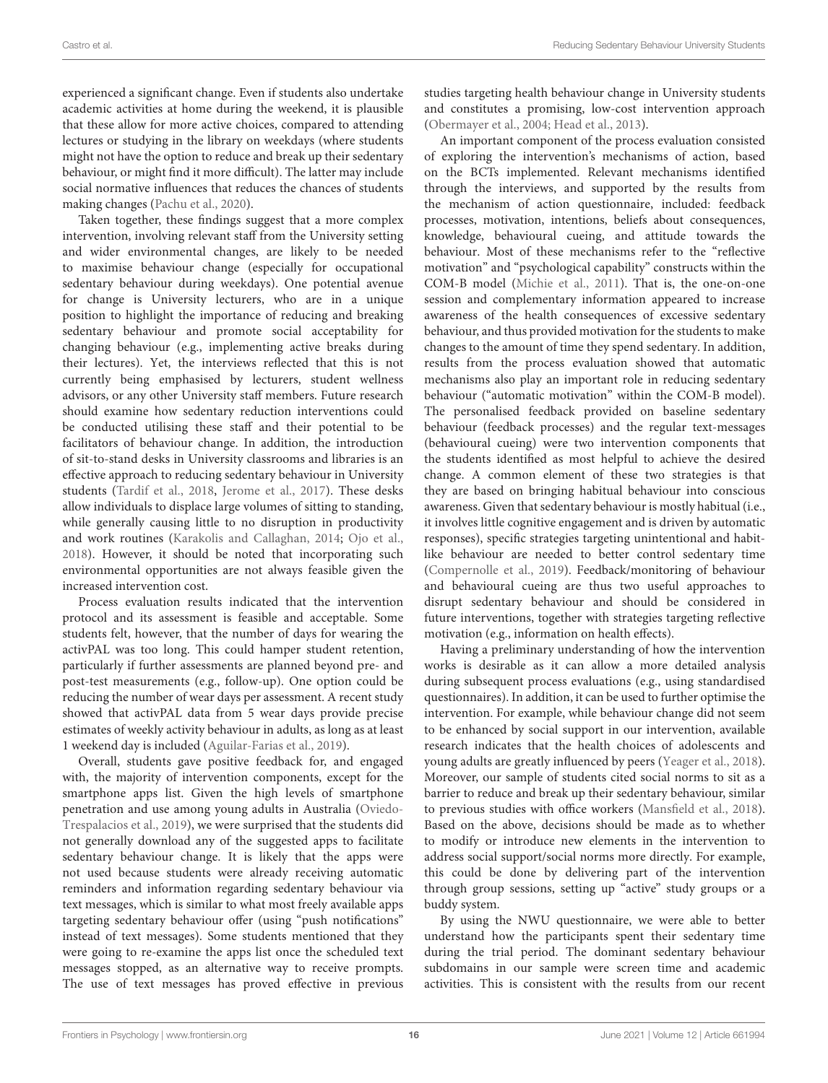experienced a significant change. Even if students also undertake academic activities at home during the weekend, it is plausible that these allow for more active choices, compared to attending lectures or studying in the library on weekdays (where students might not have the option to reduce and break up their sedentary behaviour, or might find it more difficult). The latter may include social normative influences that reduces the chances of students making changes [\(Pachu et al., 2020\)](#page-18-34).

Taken together, these findings suggest that a more complex intervention, involving relevant staff from the University setting and wider environmental changes, are likely to be needed to maximise behaviour change (especially for occupational sedentary behaviour during weekdays). One potential avenue for change is University lecturers, who are in a unique position to highlight the importance of reducing and breaking sedentary behaviour and promote social acceptability for changing behaviour (e.g., implementing active breaks during their lectures). Yet, the interviews reflected that this is not currently being emphasised by lecturers, student wellness advisors, or any other University staff members. Future research should examine how sedentary reduction interventions could be conducted utilising these staff and their potential to be facilitators of behaviour change. In addition, the introduction of sit-to-stand desks in University classrooms and libraries is an effective approach to reducing sedentary behaviour in University students [\(Tardif et al., 2018,](#page-19-4) [Jerome et al., 2017\)](#page-18-5). These desks allow individuals to displace large volumes of sitting to standing, while generally causing little to no disruption in productivity and work routines [\(Karakolis and Callaghan, 2014;](#page-18-35) [Ojo et al.,](#page-18-36) [2018\)](#page-18-36). However, it should be noted that incorporating such environmental opportunities are not always feasible given the increased intervention cost.

Process evaluation results indicated that the intervention protocol and its assessment is feasible and acceptable. Some students felt, however, that the number of days for wearing the activPAL was too long. This could hamper student retention, particularly if further assessments are planned beyond pre- and post-test measurements (e.g., follow-up). One option could be reducing the number of wear days per assessment. A recent study showed that activPAL data from 5 wear days provide precise estimates of weekly activity behaviour in adults, as long as at least 1 weekend day is included [\(Aguilar-Farias et al., 2019\)](#page-17-13).

Overall, students gave positive feedback for, and engaged with, the majority of intervention components, except for the smartphone apps list. Given the high levels of smartphone penetration and use among young adults in Australia (Oviedo-Trespalacios et al., [2019\)](#page-18-37), we were surprised that the students did not generally download any of the suggested apps to facilitate sedentary behaviour change. It is likely that the apps were not used because students were already receiving automatic reminders and information regarding sedentary behaviour via text messages, which is similar to what most freely available apps targeting sedentary behaviour offer (using "push notifications" instead of text messages). Some students mentioned that they were going to re-examine the apps list once the scheduled text messages stopped, as an alternative way to receive prompts. The use of text messages has proved effective in previous studies targeting health behaviour change in University students and constitutes a promising, low-cost intervention approach [\(Obermayer et al., 2004;](#page-18-38) [Head et al., 2013\)](#page-18-39).

An important component of the process evaluation consisted of exploring the intervention's mechanisms of action, based on the BCTs implemented. Relevant mechanisms identified through the interviews, and supported by the results from the mechanism of action questionnaire, included: feedback processes, motivation, intentions, beliefs about consequences, knowledge, behavioural cueing, and attitude towards the behaviour. Most of these mechanisms refer to the "reflective motivation" and "psychological capability" constructs within the COM-B model [\(Michie et al., 2011\)](#page-18-9). That is, the one-on-one session and complementary information appeared to increase awareness of the health consequences of excessive sedentary behaviour, and thus provided motivation for the students to make changes to the amount of time they spend sedentary. In addition, results from the process evaluation showed that automatic mechanisms also play an important role in reducing sedentary behaviour ("automatic motivation" within the COM-B model). The personalised feedback provided on baseline sedentary behaviour (feedback processes) and the regular text-messages (behavioural cueing) were two intervention components that the students identified as most helpful to achieve the desired change. A common element of these two strategies is that they are based on bringing habitual behaviour into conscious awareness. Given that sedentary behaviour is mostly habitual (i.e., it involves little cognitive engagement and is driven by automatic responses), specific strategies targeting unintentional and habitlike behaviour are needed to better control sedentary time [\(Compernolle et al., 2019\)](#page-17-14). Feedback/monitoring of behaviour and behavioural cueing are thus two useful approaches to disrupt sedentary behaviour and should be considered in future interventions, together with strategies targeting reflective motivation (e.g., information on health effects).

Having a preliminary understanding of how the intervention works is desirable as it can allow a more detailed analysis during subsequent process evaluations (e.g., using standardised questionnaires). In addition, it can be used to further optimise the intervention. For example, while behaviour change did not seem to be enhanced by social support in our intervention, available research indicates that the health choices of adolescents and young adults are greatly influenced by peers [\(Yeager et al., 2018\)](#page-19-5). Moreover, our sample of students cited social norms to sit as a barrier to reduce and break up their sedentary behaviour, similar to previous studies with office workers [\(Mansfield et al., 2018\)](#page-18-40). Based on the above, decisions should be made as to whether to modify or introduce new elements in the intervention to address social support/social norms more directly. For example, this could be done by delivering part of the intervention through group sessions, setting up "active" study groups or a buddy system.

By using the NWU questionnaire, we were able to better understand how the participants spent their sedentary time during the trial period. The dominant sedentary behaviour subdomains in our sample were screen time and academic activities. This is consistent with the results from our recent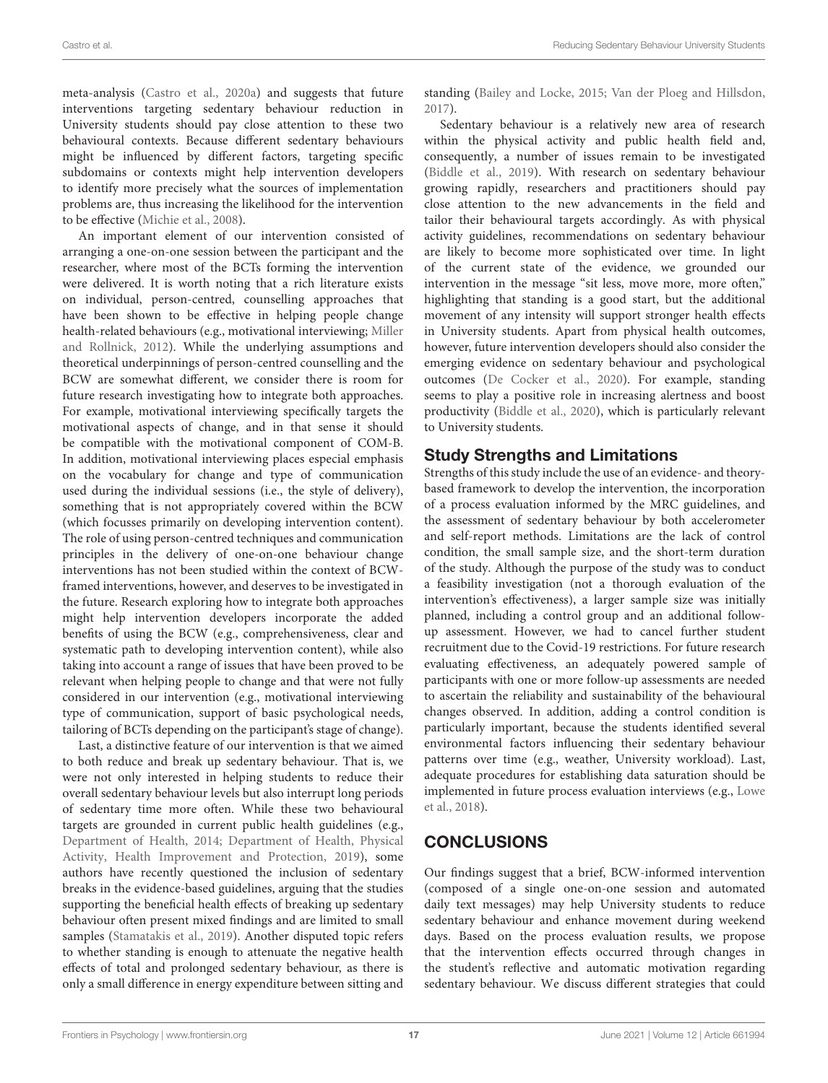meta-analysis [\(Castro et al., 2020a\)](#page-17-1) and suggests that future interventions targeting sedentary behaviour reduction in University students should pay close attention to these two behavioural contexts. Because different sedentary behaviours might be influenced by different factors, targeting specific subdomains or contexts might help intervention developers to identify more precisely what the sources of implementation problems are, thus increasing the likelihood for the intervention to be effective [\(Michie et al., 2008\)](#page-18-7).

An important element of our intervention consisted of arranging a one-on-one session between the participant and the researcher, where most of the BCTs forming the intervention were delivered. It is worth noting that a rich literature exists on individual, person-centred, counselling approaches that have been shown to be effective in helping people change health-related behaviours (e.g., motivational interviewing; Miller and Rollnick, [2012\)](#page-18-41). While the underlying assumptions and theoretical underpinnings of person-centred counselling and the BCW are somewhat different, we consider there is room for future research investigating how to integrate both approaches. For example, motivational interviewing specifically targets the motivational aspects of change, and in that sense it should be compatible with the motivational component of COM-B. In addition, motivational interviewing places especial emphasis on the vocabulary for change and type of communication used during the individual sessions (i.e., the style of delivery), something that is not appropriately covered within the BCW (which focusses primarily on developing intervention content). The role of using person-centred techniques and communication principles in the delivery of one-on-one behaviour change interventions has not been studied within the context of BCWframed interventions, however, and deserves to be investigated in the future. Research exploring how to integrate both approaches might help intervention developers incorporate the added benefits of using the BCW (e.g., comprehensiveness, clear and systematic path to developing intervention content), while also taking into account a range of issues that have been proved to be relevant when helping people to change and that were not fully considered in our intervention (e.g., motivational interviewing type of communication, support of basic psychological needs, tailoring of BCTs depending on the participant's stage of change).

Last, a distinctive feature of our intervention is that we aimed to both reduce and break up sedentary behaviour. That is, we were not only interested in helping students to reduce their overall sedentary behaviour levels but also interrupt long periods of sedentary time more often. While these two behavioural targets are grounded in current public health guidelines (e.g., [Department of Health, 2014;](#page-18-1) Department of Health, Physical Activity, Health Improvement and Protection, [2019\)](#page-18-2), some authors have recently questioned the inclusion of sedentary breaks in the evidence-based guidelines, arguing that the studies supporting the beneficial health effects of breaking up sedentary behaviour often present mixed findings and are limited to small samples [\(Stamatakis et al., 2019\)](#page-18-42). Another disputed topic refers to whether standing is enough to attenuate the negative health effects of total and prolonged sedentary behaviour, as there is only a small difference in energy expenditure between sitting and standing [\(Bailey and Locke, 2015;](#page-17-15) [Van der Ploeg and Hillsdon,](#page-19-6) [2017\)](#page-19-6).

Sedentary behaviour is a relatively new area of research within the physical activity and public health field and, consequently, a number of issues remain to be investigated [\(Biddle et al., 2019\)](#page-17-16). With research on sedentary behaviour growing rapidly, researchers and practitioners should pay close attention to the new advancements in the field and tailor their behavioural targets accordingly. As with physical activity guidelines, recommendations on sedentary behaviour are likely to become more sophisticated over time. In light of the current state of the evidence, we grounded our intervention in the message "sit less, move more, more often," highlighting that standing is a good start, but the additional movement of any intensity will support stronger health effects in University students. Apart from physical health outcomes, however, future intervention developers should also consider the emerging evidence on sedentary behaviour and psychological outcomes [\(De Cocker et al., 2020\)](#page-17-17). For example, standing seems to play a positive role in increasing alertness and boost productivity [\(Biddle et al., 2020\)](#page-17-18), which is particularly relevant to University students.

# Study Strengths and Limitations

Strengths of this study include the use of an evidence- and theorybased framework to develop the intervention, the incorporation of a process evaluation informed by the MRC guidelines, and the assessment of sedentary behaviour by both accelerometer and self-report methods. Limitations are the lack of control condition, the small sample size, and the short-term duration of the study. Although the purpose of the study was to conduct a feasibility investigation (not a thorough evaluation of the intervention's effectiveness), a larger sample size was initially planned, including a control group and an additional followup assessment. However, we had to cancel further student recruitment due to the Covid-19 restrictions. For future research evaluating effectiveness, an adequately powered sample of participants with one or more follow-up assessments are needed to ascertain the reliability and sustainability of the behavioural changes observed. In addition, adding a control condition is particularly important, because the students identified several environmental factors influencing their sedentary behaviour patterns over time (e.g., weather, University workload). Last, adequate procedures for establishing data saturation should be implemented in future process evaluation interviews (e.g., Lowe et al., [2018\)](#page-18-43).

# **CONCLUSIONS**

Our findings suggest that a brief, BCW-informed intervention (composed of a single one-on-one session and automated daily text messages) may help University students to reduce sedentary behaviour and enhance movement during weekend days. Based on the process evaluation results, we propose that the intervention effects occurred through changes in the student's reflective and automatic motivation regarding sedentary behaviour. We discuss different strategies that could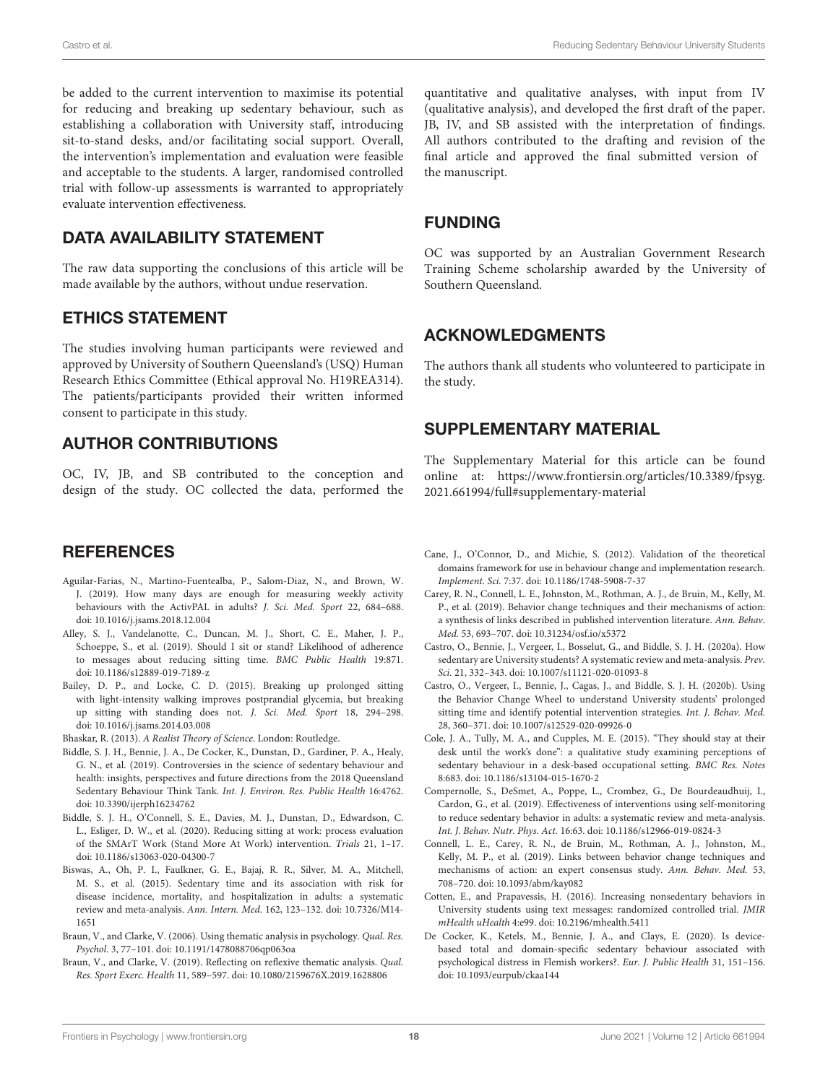be added to the current intervention to maximise its potential for reducing and breaking up sedentary behaviour, such as establishing a collaboration with University staff, introducing sit-to-stand desks, and/or facilitating social support. Overall, the intervention's implementation and evaluation were feasible and acceptable to the students. A larger, randomised controlled trial with follow-up assessments is warranted to appropriately evaluate intervention effectiveness.

# DATA AVAILABILITY STATEMENT

The raw data supporting the conclusions of this article will be made available by the authors, without undue reservation.

# ETHICS STATEMENT

The studies involving human participants were reviewed and approved by University of Southern Queensland's (USQ) Human Research Ethics Committee (Ethical approval No. H19REA314). The patients/participants provided their written informed consent to participate in this study.

# AUTHOR CONTRIBUTIONS

OC, IV, JB, and SB contributed to the conception and design of the study. OC collected the data, performed the

# **REFERENCES**

- <span id="page-17-13"></span>Aguilar-Farias, N., Martino-Fuentealba, P., Salom-Diaz, N., and Brown, W. J. (2019). How many days are enough for measuring weekly activity behaviours with the ActivPAL in adults? J. Sci. Med. Sport 22, 684–688. doi: [10.1016/j.jsams.2018.12.004](https://doi.org/10.1016/j.jsams.2018.12.004)
- <span id="page-17-6"></span>Alley, S. J., Vandelanotte, C., Duncan, M. J., Short, C. E., Maher, J. P., Schoeppe, S., et al. (2019). Should I sit or stand? Likelihood of adherence to messages about reducing sitting time. BMC Public Health 19:871. doi: [10.1186/s12889-019-7189-z](https://doi.org/10.1186/s12889-019-7189-z)
- <span id="page-17-15"></span>Bailey, D. P., and Locke, C. D. (2015). Breaking up prolonged sitting with light-intensity walking improves postprandial glycemia, but breaking up sitting with standing does not. J. Sci. Med. Sport 18, 294–298. doi: [10.1016/j.jsams.2014.03.008](https://doi.org/10.1016/j.jsams.2014.03.008)

<span id="page-17-11"></span>Bhaskar, R. (2013). A Realist Theory of Science. London: Routledge.

- <span id="page-17-16"></span>Biddle, S. J. H., Bennie, J. A., De Cocker, K., Dunstan, D., Gardiner, P. A., Healy, G. N., et al. (2019). Controversies in the science of sedentary behaviour and health: insights, perspectives and future directions from the 2018 Queensland Sedentary Behaviour Think Tank. Int. J. Environ. Res. Public Health 16:4762. doi: [10.3390/ijerph16234762](https://doi.org/10.3390/ijerph16234762)
- <span id="page-17-18"></span>Biddle, S. J. H., O'Connell, S. E., Davies, M. J., Dunstan, D., Edwardson, C. L., Esliger, D. W., et al. (2020). Reducing sitting at work: process evaluation of the SMArT Work (Stand More At Work) intervention. Trials 21, 1–17. doi: [10.1186/s13063-020-04300-7](https://doi.org/10.1186/s13063-020-04300-7)
- <span id="page-17-0"></span>Biswas, A., Oh, P. I., Faulkner, G. E., Bajaj, R. R., Silver, M. A., Mitchell, M. S., et al. (2015). Sedentary time and its association with risk for disease incidence, mortality, and hospitalization in adults: a systematic review and meta-analysis. Ann. Intern. Med[. 162, 123–132. doi: 10.7326/M14-](https://doi.org/10.7326/M14-1651) 1651
- <span id="page-17-9"></span>Braun, V., and Clarke, V. (2006). Using thematic analysis in psychology. Qual. Res. Psychol. 3, 77–101. doi: [10.1191/1478088706qp063oa](https://doi.org/10.1191/1478088706qp063oa)
- <span id="page-17-10"></span>Braun, V., and Clarke, V. (2019). Reflecting on reflexive thematic analysis. Qual. Res. Sport Exerc. Health 11, 589–597. doi: [10.1080/2159676X.2019.1628806](https://doi.org/10.1080/2159676X.2019.1628806)

quantitative and qualitative analyses, with input from IV (qualitative analysis), and developed the first draft of the paper. JB, IV, and SB assisted with the interpretation of findings. All authors contributed to the drafting and revision of the final article and approved the final submitted version of the manuscript.

### FUNDING

OC was supported by an Australian Government Research Training Scheme scholarship awarded by the University of Southern Queensland.

# ACKNOWLEDGMENTS

The authors thank all students who volunteered to participate in the study.

# SUPPLEMENTARY MATERIAL

<span id="page-17-4"></span>The Supplementary Material for this article can be found [online at: https://www.frontiersin.org/articles/10.3389/fpsyg.](https://www.frontiersin.org/articles/10.3389/fpsyg.2021.661994/full#supplementary-material) 2021.661994/full#supplementary-material

- <span id="page-17-3"></span>Cane, J., O'Connor, D., and Michie, S. (2012). Validation of the theoretical domains framework for use in behaviour change and implementation research. Implement. Sci. 7:37. doi: [10.1186/1748-5908-7-37](https://doi.org/10.1186/1748-5908-7-37)
- <span id="page-17-7"></span>Carey, R. N., Connell, L. E., Johnston, M., Rothman, A. J., de Bruin, M., Kelly, M. P., et al. (2019). Behavior change techniques and their mechanisms of action: a synthesis of links described in published intervention literature. Ann. Behav. Med. 53, 693–707. doi: [10.31234/osf.io/x5372](https://doi.org/10.31234/osf.io/x5372)
- <span id="page-17-1"></span>Castro, O., Bennie, J., Vergeer, I., Bosselut, G., and Biddle, S. J. H. (2020a). How sedentary are University students? A systematic review and meta-analysis. Prev. Sci. 21, 332–343. doi: [10.1007/s11121-020-01093-8](https://doi.org/10.1007/s11121-020-01093-8)
- <span id="page-17-5"></span>Castro, O., Vergeer, I., Bennie, J., Cagas, J., and Biddle, S. J. H. (2020b). Using the Behavior Change Wheel to understand University students' prolonged sitting time and identify potential intervention strategies. Int. J. Behav. Med. 28, 360–371. doi: [10.1007/s12529-020-09926-0](https://doi.org/10.1007/s12529-020-09926-0)
- <span id="page-17-12"></span>Cole, J. A., Tully, M. A., and Cupples, M. E. (2015). "They should stay at their desk until the work's done": a qualitative study examining perceptions of sedentary behaviour in a desk-based occupational setting. BMC Res. Notes 8:683. doi: [10.1186/s13104-015-1670-2](https://doi.org/10.1186/s13104-015-1670-2)
- <span id="page-17-14"></span>Compernolle, S., DeSmet, A., Poppe, L., Crombez, G., De Bourdeaudhuij, I., Cardon, G., et al. (2019). Effectiveness of interventions using self-monitoring to reduce sedentary behavior in adults: a systematic review and meta-analysis. Int. J. Behav. Nutr. Phys. Act. 16:63. doi: [10.1186/s12966-019-0824-3](https://doi.org/10.1186/s12966-019-0824-3)
- <span id="page-17-8"></span>Connell, L. E., Carey, R. N., de Bruin, M., Rothman, A. J., Johnston, M., Kelly, M. P., et al. (2019). Links between behavior change techniques and mechanisms of action: an expert consensus study. Ann. Behav. Med. 53, 708–720. doi: [10.1093/abm/kay082](https://doi.org/10.1093/abm/kay082)
- <span id="page-17-2"></span>Cotten, E., and Prapavessis, H. (2016). Increasing nonsedentary behaviors in University students using text messages: randomized controlled trial. JMIR mHealth uHealth 4:e99. doi: [10.2196/mhealth.5411](https://doi.org/10.2196/mhealth.5411)
- <span id="page-17-17"></span>De Cocker, K., Ketels, M., Bennie, J. A., and Clays, E. (2020). Is devicebased total and domain-specific sedentary behaviour associated with psychological distress in Flemish workers?. Eur. J. Public Health 31, 151–156. doi: [10.1093/eurpub/ckaa144](https://doi.org/10.1093/eurpub/ckaa144)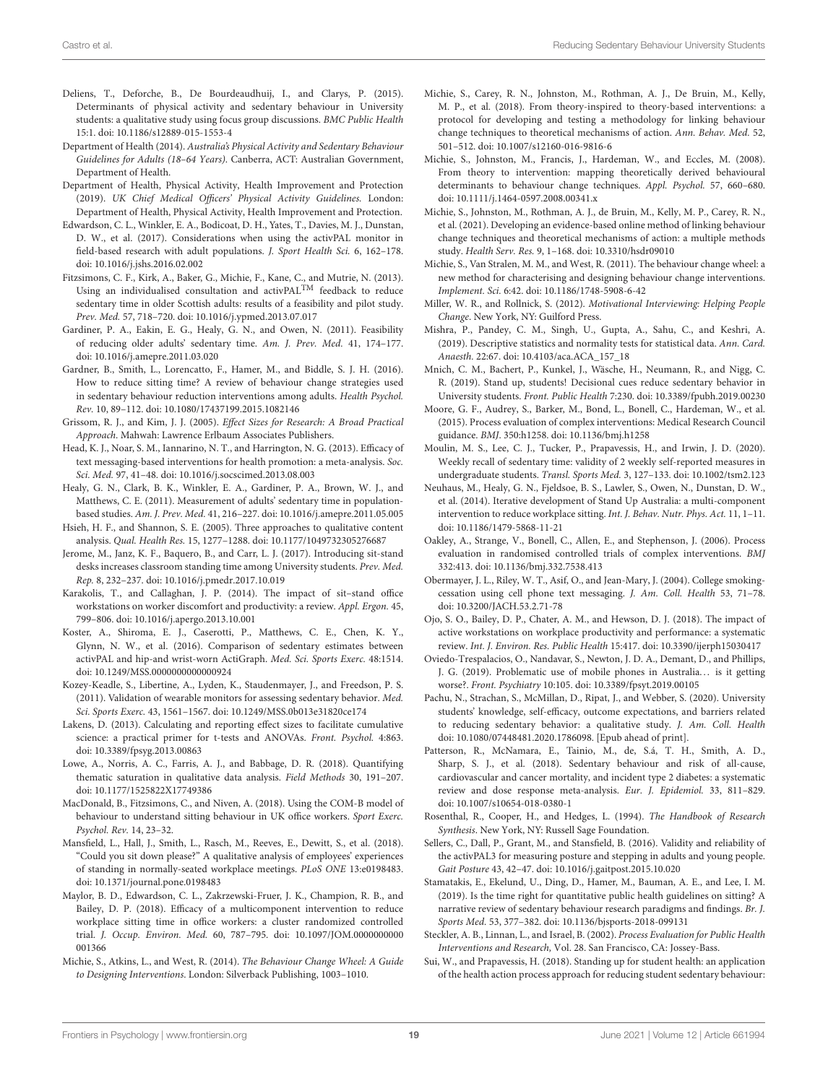- <span id="page-18-18"></span><span id="page-18-13"></span>Deliens, T., Deforche, B., De Bourdeaudhuij, I., and Clarys, P. (2015). Determinants of physical activity and sedentary behaviour in University students: a qualitative study using focus group discussions. BMC Public Health 15:1. doi: [10.1186/s12889-015-1553-4](https://doi.org/10.1186/s12889-015-1553-4)
- <span id="page-18-1"></span>Department of Health (2014). Australia's Physical Activity and Sedentary Behaviour Guidelines for Adults (18–64 Years). Canberra, ACT: Australian Government, Department of Health.
- <span id="page-18-2"></span>Department of Health, Physical Activity, Health Improvement and Protection (2019). UK Chief Medical Officers' Physical Activity Guidelines. London: Department of Health, Physical Activity, Health Improvement and Protection.
- <span id="page-18-29"></span>Edwardson, C. L., Winkler, E. A., Bodicoat, D. H., Yates, T., Davies, M. J., Dunstan, D. W., et al. (2017). Considerations when using the activPAL monitor in field-based research with adult populations. J. Sport Health Sci. 6, 162-178. doi: [10.1016/j.jshs.2016.02.002](https://doi.org/10.1016/j.jshs.2016.02.002)
- <span id="page-18-15"></span>Fitzsimons, C. F., Kirk, A., Baker, G., Michie, F., Kane, C., and Mutrie, N. (2013). Using an individualised consultation and activPALTM feedback to reduce sedentary time in older Scottish adults: results of a feasibility and pilot study. Prev. Med. 57, 718–720. doi: [10.1016/j.ypmed.2013.07.017](https://doi.org/10.1016/j.ypmed.2013.07.017)
- <span id="page-18-14"></span>Gardiner, P. A., Eakin, E. G., Healy, G. N., and Owen, N. (2011). Feasibility of reducing older adults' sedentary time. Am. J. Prev. Med. 41, 174–177. doi: [10.1016/j.amepre.2011.03.020](https://doi.org/10.1016/j.amepre.2011.03.020)
- <span id="page-18-3"></span>Gardner, B., Smith, L., Lorencatto, F., Hamer, M., and Biddle, S. J. H. (2016). How to reduce sitting time? A review of behaviour change strategies used in sedentary behaviour reduction interventions among adults. Health Psychol. Rev. 10, 89–112. doi: [10.1080/17437199.2015.1082146](https://doi.org/10.1080/17437199.2015.1082146)
- <span id="page-18-31"></span>Grissom, R. J., and Kim, J. J. (2005). Effect Sizes for Research: A Broad Practical Approach. Mahwah: Lawrence Erlbaum Associates Publishers.
- <span id="page-18-39"></span>Head, K. J., Noar, S. M., Iannarino, N. T., and Harrington, N. G. (2013). Efficacy of text messaging-based interventions for health promotion: a meta-analysis. Soc. Sci. Med. 97, 41–48. doi: [10.1016/j.socscimed.2013.08.003](https://doi.org/10.1016/j.socscimed.2013.08.003)
- <span id="page-18-24"></span>Healy, G. N., Clark, B. K., Winkler, E. A., Gardiner, P. A., Brown, W. J., and Matthews, C. E. (2011). Measurement of adults' sedentary time in populationbased studies. Am. J. Prev. Med. 41, 216–227. doi: [10.1016/j.amepre.2011.05.005](https://doi.org/10.1016/j.amepre.2011.05.005)
- <span id="page-18-30"></span>Hsieh, H. F., and Shannon, S. E. (2005). Three approaches to qualitative content analysis. Qual. Health Res. 15, 1277–1288. doi: [10.1177/1049732305276687](https://doi.org/10.1177/1049732305276687)
- <span id="page-18-5"></span>Jerome, M., Janz, K. F., Baquero, B., and Carr, L. J. (2017). Introducing sit-stand desks increases classroom standing time among University students. Prev. Med. Rep. 8, 232–237. doi: [10.1016/j.pmedr.2017.10.019](https://doi.org/10.1016/j.pmedr.2017.10.019)
- <span id="page-18-35"></span>Karakolis, T., and Callaghan, J. P. (2014). The impact of sit–stand office workstations on worker discomfort and productivity: a review. Appl. Ergon. 45, 799–806. doi: [10.1016/j.apergo.2013.10.001](https://doi.org/10.1016/j.apergo.2013.10.001)
- <span id="page-18-21"></span>Koster, A., Shiroma, E. J., Caserotti, P., Matthews, C. E., Chen, K. Y., Glynn, N. W., et al. (2016). Comparison of sedentary estimates between activPAL and hip-and wrist-worn ActiGraph. Med. Sci. Sports Exerc. 48:1514. doi: [10.1249/MSS.0000000000000924](https://doi.org/10.1249/MSS.0000000000000924)
- <span id="page-18-20"></span>Kozey-Keadle, S., Libertine, A., Lyden, K., Staudenmayer, J., and Freedson, P. S. (2011). Validation of wearable monitors for assessing sedentary behavior. Med. Sci. Sports Exerc. 43, 1561–1567. doi: [10.1249/MSS.0b013e31820ce174](https://doi.org/10.1249/MSS.0b013e31820ce174)
- <span id="page-18-28"></span>Lakens, D. (2013). Calculating and reporting effect sizes to facilitate cumulative science: a practical primer for t-tests and ANOVAs. Front. Psychol. 4:863. doi: [10.3389/fpsyg.2013.00863](https://doi.org/10.3389/fpsyg.2013.00863)
- <span id="page-18-43"></span>Lowe, A., Norris, A. C., Farris, A. J., and Babbage, D. R. (2018). Quantifying thematic saturation in qualitative data analysis. Field Methods 30, 191–207. doi: [10.1177/1525822X17749386](https://doi.org/10.1177/1525822X17749386)
- <span id="page-18-33"></span>MacDonald, B., Fitzsimons, C., and Niven, A. (2018). Using the COM-B model of behaviour to understand sitting behaviour in UK office workers. Sport Exerc. Psychol. Rev. 14, 23–32.
- <span id="page-18-40"></span>Mansfield, L., Hall, J., Smith, L., Rasch, M., Reeves, E., Dewitt, S., et al. (2018). "Could you sit down please?" A qualitative analysis of employees' experiences of standing in normally-seated workplace meetings. PLoS ONE 13:e0198483. doi: [10.1371/journal.pone.0198483](https://doi.org/10.1371/journal.pone.0198483)
- <span id="page-18-17"></span>Maylor, B. D., Edwardson, C. L., Zakrzewski-Fruer, J. K., Champion, R. B., and Bailey, D. P. (2018). Efficacy of a multicomponent intervention to reduce workplace sitting time in office workers: a cluster randomized controlled trial. J. Occup. Environ. Med. [60, 787–795. doi: 10.1097/JOM.0000000000](https://doi.org/10.1097/JOM.0000000000001366) 001366
- <span id="page-18-8"></span>Michie, S., Atkins, L., and West, R. (2014). The Behaviour Change Wheel: A Guide to Designing Interventions. London: Silverback Publishing, 1003–1010.
- <span id="page-18-25"></span>Michie, S., Carey, R. N., Johnston, M., Rothman, A. J., De Bruin, M., Kelly, M. P., et al. (2018). From theory-inspired to theory-based interventions: a protocol for developing and testing a methodology for linking behaviour change techniques to theoretical mechanisms of action. Ann. Behav. Med. 52, 501–512. doi: [10.1007/s12160-016-9816-6](https://doi.org/10.1007/s12160-016-9816-6)
- <span id="page-18-7"></span>Michie, S., Johnston, M., Francis, J., Hardeman, W., and Eccles, M. (2008). From theory to intervention: mapping theoretically derived behavioural determinants to behaviour change techniques. Appl. Psychol. 57, 660–680. doi: [10.1111/j.1464-0597.2008.00341.x](https://doi.org/10.1111/j.1464-0597.2008.00341.x)
- <span id="page-18-26"></span>Michie, S., Johnston, M., Rothman, A. J., de Bruin, M., Kelly, M. P., Carey, R. N., et al. (2021). Developing an evidence-based online method of linking behaviour change techniques and theoretical mechanisms of action: a multiple methods study. Health Serv. Res. 9, 1–168. doi: [10.3310/hsdr09010](https://doi.org/10.3310/hsdr09010)
- <span id="page-18-9"></span>Michie, S., Van Stralen, M. M., and West, R. (2011). The behaviour change wheel: a new method for characterising and designing behaviour change interventions. Implement. Sci. 6:42. doi: [10.1186/1748-5908-6-42](https://doi.org/10.1186/1748-5908-6-42)
- <span id="page-18-41"></span>Miller, W. R., and Rollnick, S. (2012). Motivational Interviewing: Helping People Change. New York, NY: Guilford Press.
- <span id="page-18-27"></span>Mishra, P., Pandey, C. M., Singh, U., Gupta, A., Sahu, C., and Keshri, A. (2019). Descriptive statistics and normality tests for statistical data. Ann. Card. Anaesth. 22:67. doi: [10.4103/aca.ACA\\_157\\_18](https://doi.org/10.4103/aca.ACA_157_18)
- <span id="page-18-6"></span>Mnich, C. M., Bachert, P., Kunkel, J., Wäsche, H., Neumann, R., and Nigg, C. R. (2019). Stand up, students! Decisional cues reduce sedentary behavior in University students. Front. Public Health 7:230. doi: [10.3389/fpubh.2019.00230](https://doi.org/10.3389/fpubh.2019.00230)
- <span id="page-18-19"></span><span id="page-18-12"></span>Moore, G. F., Audrey, S., Barker, M., Bond, L., Bonell, C., Hardeman, W., et al. (2015). Process evaluation of complex interventions: Medical Research Council guidance. BMJ. 350:h1258. doi: [10.1136/bmj.h1258](https://doi.org/10.1136/bmj.h1258)
- <span id="page-18-23"></span>Moulin, M. S., Lee, C. J., Tucker, P., Prapavessis, H., and Irwin, J. D. (2020). Weekly recall of sedentary time: validity of 2 weekly self-reported measures in undergraduate students. Transl. Sports Med. 3, 127–133. doi: [10.1002/tsm2.123](https://doi.org/10.1002/tsm2.123)
- <span id="page-18-16"></span>Neuhaus, M., Healy, G. N., Fjeldsoe, B. S., Lawler, S., Owen, N., Dunstan, D. W., et al. (2014). Iterative development of Stand Up Australia: a multi-component intervention to reduce workplace sitting. Int. J. Behav. Nutr. Phys. Act. 11, 1–11. doi: [10.1186/1479-5868-11-21](https://doi.org/10.1186/1479-5868-11-21)
- <span id="page-18-11"></span>Oakley, A., Strange, V., Bonell, C., Allen, E., and Stephenson, J. (2006). Process evaluation in randomised controlled trials of complex interventions. BMJ 332:413. doi: [10.1136/bmj.332.7538.413](https://doi.org/10.1136/bmj.332.7538.413)
- <span id="page-18-38"></span>Obermayer, J. L., Riley, W. T., Asif, O., and Jean-Mary, J. (2004). College smokingcessation using cell phone text messaging. J. Am. Coll. Health 53, 71–78. doi: [10.3200/JACH.53.2.71-78](https://doi.org/10.3200/JACH.53.2.71-78)
- <span id="page-18-36"></span>Ojo, S. O., Bailey, D. P., Chater, A. M., and Hewson, D. J. (2018). The impact of active workstations on workplace productivity and performance: a systematic review. Int. J. Environ. Res. Public Health 15:417. doi: [10.3390/ijerph15030417](https://doi.org/10.3390/ijerph15030417)
- <span id="page-18-37"></span>Oviedo-Trespalacios, O., Nandavar, S., Newton, J. D. A., Demant, D., and Phillips, J. G. (2019). Problematic use of mobile phones in Australia... is it getting worse?. Front. Psychiatry 10:105. doi: [10.3389/fpsyt.2019.00105](https://doi.org/10.3389/fpsyt.2019.00105)
- <span id="page-18-34"></span>Pachu, N., Strachan, S., McMillan, D., Ripat, J., and Webber, S. (2020). University students' knowledge, self-efficacy, outcome expectations, and barriers related to reducing sedentary behavior: a qualitative study. J. Am. Coll. Health doi: [10.1080/07448481.2020.1786098.](https://doi.org/10.1080/07448481.2020.1786098) [Epub ahead of print].
- <span id="page-18-0"></span>Patterson, R., McNamara, E., Tainio, M., de, S.á, T. H., Smith, A. D., Sharp, S. J., et al. (2018). Sedentary behaviour and risk of all-cause, cardiovascular and cancer mortality, and incident type 2 diabetes: a systematic review and dose response meta-analysis. Eur. J. Epidemiol. 33, 811–829. doi: [10.1007/s10654-018-0380-1](https://doi.org/10.1007/s10654-018-0380-1)
- <span id="page-18-32"></span>Rosenthal, R., Cooper, H., and Hedges, L. (1994). The Handbook of Research Synthesis. New York, NY: Russell Sage Foundation.
- <span id="page-18-22"></span>Sellers, C., Dall, P., Grant, M., and Stansfield, B. (2016). Validity and reliability of the activPAL3 for measuring posture and stepping in adults and young people. Gait Posture 43, 42–47. doi: [10.1016/j.gaitpost.2015.10.020](https://doi.org/10.1016/j.gaitpost.2015.10.020)
- <span id="page-18-42"></span>Stamatakis, E., Ekelund, U., Ding, D., Hamer, M., Bauman, A. E., and Lee, I. M. (2019). Is the time right for quantitative public health guidelines on sitting? A narrative review of sedentary behaviour research paradigms and findings. Br. J. Sports Med. 53, 377–382. doi: [10.1136/bjsports-2018-099131](https://doi.org/10.1136/bjsports-2018-099131)
- <span id="page-18-10"></span>Steckler, A. B., Linnan, L., and Israel, B. (2002). Process Evaluation for Public Health Interventions and Research, Vol. 28. San Francisco, CA: Jossey-Bass.
- <span id="page-18-4"></span>Sui, W., and Prapavessis, H. (2018). Standing up for student health: an application of the health action process approach for reducing student sedentary behaviour: